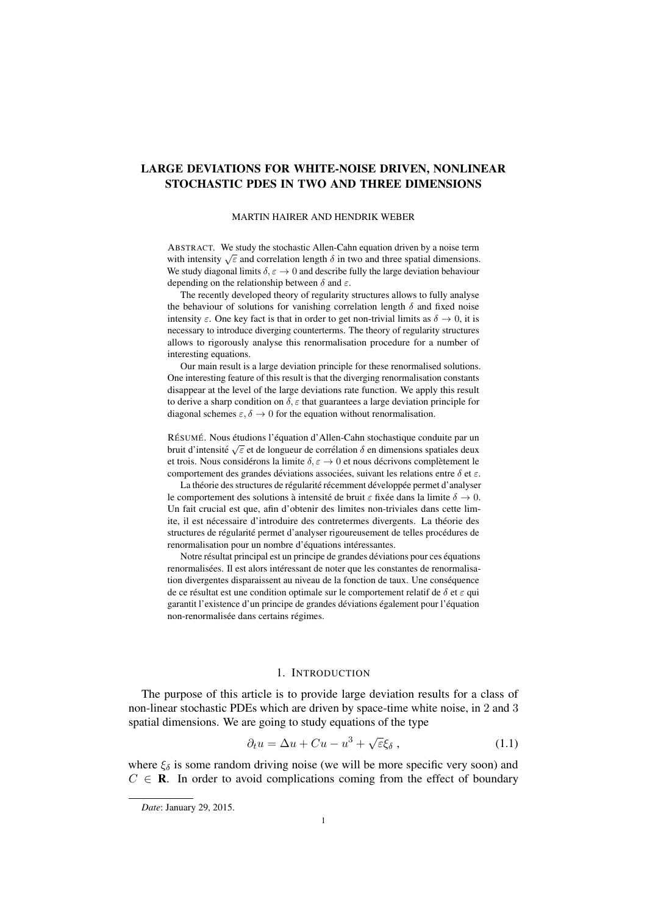# LARGE DEVIATIONS FOR WHITE-NOISE DRIVEN, NONLINEAR STOCHASTIC PDES IN TWO AND THREE DIMENSIONS

## MARTIN HAIRER AND HENDRIK WEBER

ABSTRACT. We study the stochastic Allen-Cahn equation driven by a noise term ABSTRACT. WE study the stochastic Affeli-Califf equation driven by a holse term<br>with intensity  $\sqrt{\epsilon}$  and correlation length  $\delta$  in two and three spatial dimensions. We study diagonal limits  $\delta \in \partial$  and describe fully the large deviation behaviour depending on the relationship between  $\delta$  and  $\varepsilon$ .

The recently developed theory of regularity structures allows to fully analyse the behaviour of solutions for vanishing correlation length  $\delta$  and fixed noise intensity  $\varepsilon$ . One key fact is that in order to get non-trivial limits as  $\delta \to 0$ , it is necessary to introduce diverging counterterms. The theory of regularity structures allows to rigorously analyse this renormalisation procedure for a number of interesting equations.

Our main result is a large deviation principle for these renormalised solutions. One interesting feature of this result is that the diverging renormalisation constants disappear at the level of the large deviations rate function. We apply this result to derive a sharp condition on  $\delta$ ,  $\varepsilon$  that guarantees a large deviation principle for diagonal schemes  $\varepsilon$ ,  $\delta \to 0$  for the equation without renormalisation.

RÉSUMÉ. Nous étudions l'équation d'Allen-Cahn stochastique conduite par un bruit d'intensité  $\sqrt{\varepsilon}$  et de longueur de corrélation  $\delta$  en dimensions spatiales deux et trois. Nous considérons la limite  $\delta, \varepsilon \to 0$  et nous décrivons complètement le comportement des grandes déviations associées, suivant les relations entre  $\delta$  et  $\varepsilon$ .

La théorie des structures de régularité récemment développée permet d'analyser le comportement des solutions à intensité de bruit  $\varepsilon$  fixée dans la limite  $\delta \to 0$ . Un fait crucial est que, afin d'obtenir des limites non-triviales dans cette limite, il est nécessaire d'introduire des contretermes divergents. La théorie des structures de régularité permet d'analyser rigoureusement de telles procédures de renormalisation pour un nombre d'équations intéressantes.

Notre résultat principal est un principe de grandes déviations pour ces équations renormalisées. Il est alors intéressant de noter que les constantes de renormalisation divergentes disparaissent au niveau de la fonction de taux. Une consequence ´ de ce résultat est une condition optimale sur le comportement relatif de  $\delta$  et  $\varepsilon$  qui garantit l'existence d'un principe de grandes déviations également pour l'équation non-renormalisée dans certains régimes.

## <span id="page-0-0"></span>1. INTRODUCTION

The purpose of this article is to provide large deviation results for a class of non-linear stochastic PDEs which are driven by space-time white noise, in 2 and 3 spatial dimensions. We are going to study equations of the type

$$
\partial_t u = \Delta u + Cu - u^3 + \sqrt{\varepsilon} \xi_\delta , \qquad (1.1)
$$

where  $\xi_{\delta}$  is some random driving noise (we will be more specific very soon) and  $C \in \mathbf{R}$ . In order to avoid complications coming from the effect of boundary

*Date*: January 29, 2015.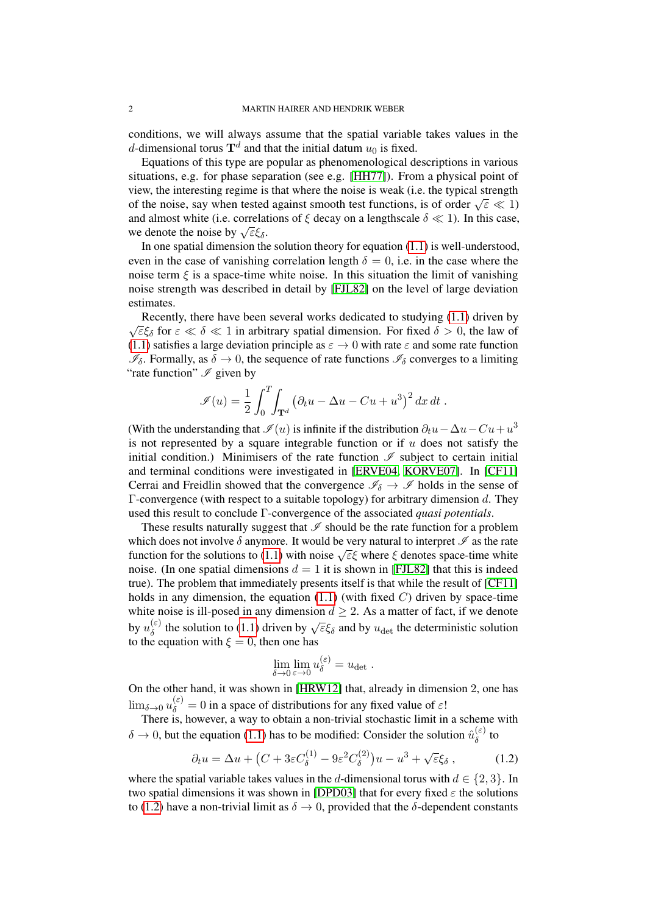conditions, we will always assume that the spatial variable takes values in the d-dimensional torus  $\mathbf{T}^d$  and that the initial datum  $u_0$  is fixed.

Equations of this type are popular as phenomenological descriptions in various situations, e.g. for phase separation (see e.g. [\[HH77\]](#page-28-0)). From a physical point of view, the interesting regime is that where the noise is weak (i.e. the typical strength between the interesting regime is that where the noise is weak (i.e. the typical strength of the noise, say when tested against smooth test functions, is of order  $\sqrt{\epsilon} \ll 1$ ) and almost white (i.e. correlations of  $\xi$  decay on a lengthscale  $\delta \ll 1$ ). In this case, and annost white (i.e. correlation<br>we denote the noise by  $\sqrt{\varepsilon} \xi_{\delta}$ .

In one spatial dimension the solution theory for equation  $(1.1)$  is well-understood, even in the case of vanishing correlation length  $\delta = 0$ , i.e. in the case where the noise term  $\xi$  is a space-time white noise. In this situation the limit of vanishing noise strength was described in detail by [\[FJL82\]](#page-28-1) on the level of large deviation estimates.

Recently, there have been several works dedicated to studying [\(1.1\)](#page-0-0) driven by Recently, there have been several works dedicated to studying (1.1) driven by  $\sqrt{\varepsilon}\xi_\delta$  for  $\varepsilon \ll \delta \ll 1$  in arbitrary spatial dimension. For fixed  $\delta > 0$ , the law of [\(1.1\)](#page-0-0) satisfies a large deviation principle as  $\varepsilon \to 0$  with rate  $\varepsilon$  and some rate function  $\mathscr{I}_{\delta}$ . Formally, as  $\delta \to 0$ , the sequence of rate functions  $\mathscr{I}_{\delta}$  converges to a limiting "rate function"  $\mathscr I$  given by

$$
\mathscr{I}(u) = \frac{1}{2} \int_0^T \int_{\mathbf{T}^d} \left( \partial_t u - \Delta u - Cu + u^3 \right)^2 dx dt.
$$

(With the understanding that  $\mathscr{I}(u)$  is infinite if the distribution  $\partial_t u - \Delta u - Cu + u^3$ is not represented by a square integrable function or if  $u$  does not satisfy the initial condition.) Minimisers of the rate function  $\mathscr I$  subject to certain initial and terminal conditions were investigated in [\[ERVE04,](#page-28-2) [KORVE07\]](#page-28-3). In [\[CF11\]](#page-27-0) Cerrai and Freidlin showed that the convergence  $\mathscr{I}_{\delta} \to \mathscr{I}$  holds in the sense of Γ-convergence (with respect to a suitable topology) for arbitrary dimension d. They used this result to conclude Γ-convergence of the associated *quasi potentials*.

These results naturally suggest that  $\mathcal I$  should be the rate function for a problem which does not involve  $\delta$  anymore. It would be very natural to interpret  $\mathscr I$  as the rate which does not involve  $\theta$  anymore. It would be very haddled to interpret  $\mathscr F$  as the rate function for the solutions to [\(1.1\)](#page-0-0) with noise  $\sqrt{\varepsilon}\xi$  where  $\xi$  denotes space-time white noise. (In one spatial dimensions  $d = 1$  it is shown in [\[FJL82\]](#page-28-1) that this is indeed true). The problem that immediately presents itself is that while the result of [\[CF11\]](#page-27-0) holds in any dimension, the equation  $(1.1)$  (with fixed C) driven by space-time white noise is ill-posed in any dimension  $d \geq 2$ . As a matter of fact, if we denote by  $u_{\delta}^{(\varepsilon)}$  $\begin{pmatrix} \epsilon \\ \delta \end{pmatrix}$  the solution to [\(1.1\)](#page-0-0) driven by  $\sqrt{\epsilon} \xi_{\delta}$  and by  $u_{\text{det}}$  the deterministic solution to the equation with  $\xi = 0$ , then one has

<span id="page-1-0"></span>
$$
\lim_{\delta \to 0} \lim_{\varepsilon \to 0} u_{\delta}^{(\varepsilon)} = u_{\text{det}}.
$$

On the other hand, it was shown in [\[HRW12\]](#page-28-4) that, already in dimension 2, one has  $\lim_{\delta \to 0} u_{\delta}^{(\varepsilon)} = 0$  in a space of distributions for any fixed value of  $\varepsilon!$ 

There is, however, a way to obtain a non-trivial stochastic limit in a scheme with  $\delta \to 0$ , but the equation [\(1.1\)](#page-0-0) has to be modified: Consider the solution  $\hat{u}_{\delta}^{(\varepsilon)}$  $\delta^{(ε)}$  to

$$
\partial_t u = \Delta u + \left( C + 3\varepsilon C_\delta^{(1)} - 9\varepsilon^2 C_\delta^{(2)} \right) u - u^3 + \sqrt{\varepsilon} \xi_\delta ,\qquad (1.2)
$$

where the spatial variable takes values in the d-dimensional torus with  $d \in \{2, 3\}$ . In two spatial dimensions it was shown in [\[DPD03\]](#page-28-5) that for every fixed  $\varepsilon$  the solutions to [\(1.2\)](#page-1-0) have a non-trivial limit as  $\delta \to 0$ , provided that the  $\delta$ -dependent constants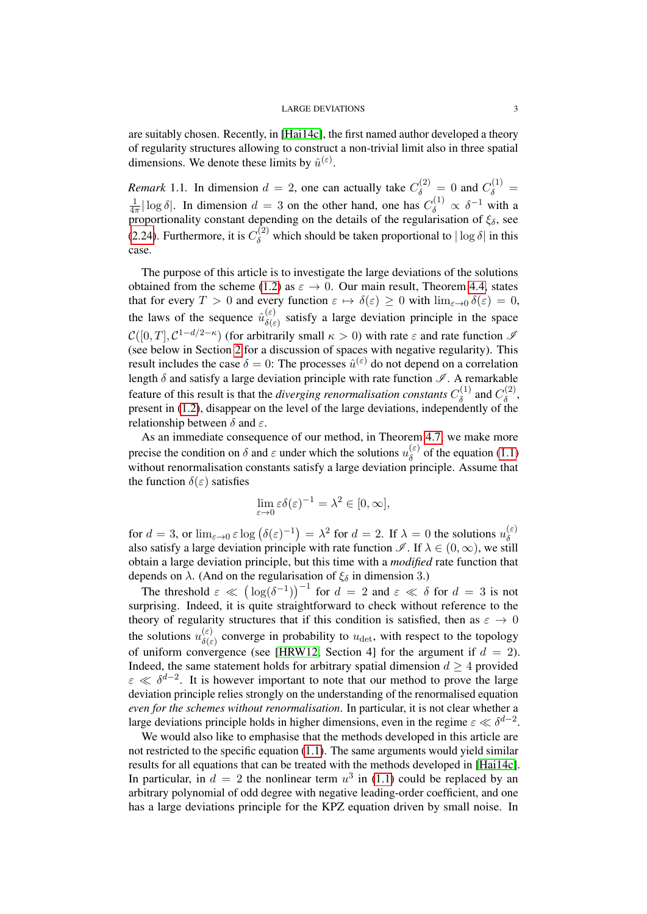are suitably chosen. Recently, in [\[Hai14c\]](#page-28-6), the first named author developed a theory of regularity structures allowing to construct a non-trivial limit also in three spatial dimensions. We denote these limits by  $\hat{u}^{(\varepsilon)}$ .

*Remark* 1.1. In dimension  $d = 2$ , one can actually take  $C_{\delta}^{(2)} = 0$  and  $C_{\delta}^{(1)} =$ 1  $\frac{1}{4\pi} |\log \delta|$ . In dimension  $d = 3$  on the other hand, one has  $C_{\delta}^{(1)} \propto \delta^{-1}$  with a proportionality constant depending on the details of the regularisation of  $\xi_{\delta}$ , see [\(2.24\)](#page-13-0). Furthermore, it is  $C_{\delta}^{(2)}$  which should be taken proportional to  $|\log \delta|$  in this case.

The purpose of this article is to investigate the large deviations of the solutions obtained from the scheme [\(1.2\)](#page-1-0) as  $\varepsilon \to 0$ . Our main result, Theorem [4.4,](#page-25-0) states that for every  $T > 0$  and every function  $\varepsilon \mapsto \delta(\varepsilon) \ge 0$  with  $\lim_{\varepsilon \to 0} \delta(\varepsilon) = 0$ , the laws of the sequence  $\hat{u}_{s(e)}^{(\varepsilon)}$  $\delta(\varepsilon)$  satisfy a large deviation principle in the space  $\mathcal{C}([0,T], \mathcal{C}^{1-d/2-\kappa})$  (for arbitrarily small  $\kappa > 0$ ) with rate  $\varepsilon$  and rate function  $\mathcal{I}$ (see below in Section [2](#page-3-0) for a discussion of spaces with negative regularity). This result includes the case  $\delta = 0$ : The processes  $\hat{u}^{(\varepsilon)}$  do not depend on a correlation length  $\delta$  and satisfy a large deviation principle with rate function  $\mathscr{I}$ . A remarkable feature of this result is that the *diverging renormalisation constants*  $C_{\delta}^{(1)}$  $C_{\delta}^{(1)}$  and  $C_{\delta}^{(2)}$  $\delta^{(2)}$ present in [\(1.2\)](#page-1-0), disappear on the level of the large deviations, independently of the relationship between  $\delta$  and  $\varepsilon$ .

As an immediate consequence of our method, in Theorem [4.7,](#page-26-0) we make more precise the condition on  $\delta$  and  $\varepsilon$  under which the solutions  $u_{\delta}^{(\varepsilon)}$  $\delta^{\text{(c)}}$  of the equation [\(1.1\)](#page-0-0) without renormalisation constants satisfy a large deviation principle. Assume that the function  $\delta(\varepsilon)$  satisfies

$$
\lim_{\varepsilon \to 0} \varepsilon \delta(\varepsilon)^{-1} = \lambda^2 \in [0, \infty],
$$

for  $d = 3$ , or  $\lim_{\varepsilon \to 0} \varepsilon \log (\delta(\varepsilon)^{-1}) = \lambda^2$  for  $d = 2$ . If  $\lambda = 0$  the solutions  $u_{\delta}^{(\varepsilon)}$ δ also satisfy a large deviation principle with rate function  $\mathscr{I}$ . If  $\lambda \in (0, \infty)$ , we still obtain a large deviation principle, but this time with a *modified* rate function that depends on  $\lambda$ . (And on the regularisation of  $\xi_{\delta}$  in dimension 3.)

The threshold  $\varepsilon \ll (\log(\delta^{-1}))^{-1}$  for  $d = 2$  and  $\varepsilon \ll \delta$  for  $d = 3$  is not surprising. Indeed, it is quite straightforward to check without reference to the theory of regularity structures that if this condition is satisfied, then as  $\varepsilon \to 0$ the solutions  $u_{\delta(\varepsilon)}^{(\varepsilon)}$  $\delta(\varepsilon)$  converge in probability to  $u_{\text{det}}$ , with respect to the topology of uniform convergence (see [\[HRW12,](#page-28-4) Section 4] for the argument if  $d = 2$ ). Indeed, the same statement holds for arbitrary spatial dimension  $d > 4$  provided  $\varepsilon \ll \delta^{d-2}$ . It is however important to note that our method to prove the large deviation principle relies strongly on the understanding of the renormalised equation *even for the schemes without renormalisation*. In particular, it is not clear whether a large deviations principle holds in higher dimensions, even in the regime  $\varepsilon \ll \delta^{d-2}$ .

We would also like to emphasise that the methods developed in this article are not restricted to the specific equation [\(1.1\)](#page-0-0). The same arguments would yield similar results for all equations that can be treated with the methods developed in [\[Hai14c\]](#page-28-6). In particular, in  $d = 2$  the nonlinear term  $u^3$  in [\(1.1\)](#page-0-0) could be replaced by an arbitrary polynomial of odd degree with negative leading-order coefficient, and one has a large deviations principle for the KPZ equation driven by small noise. In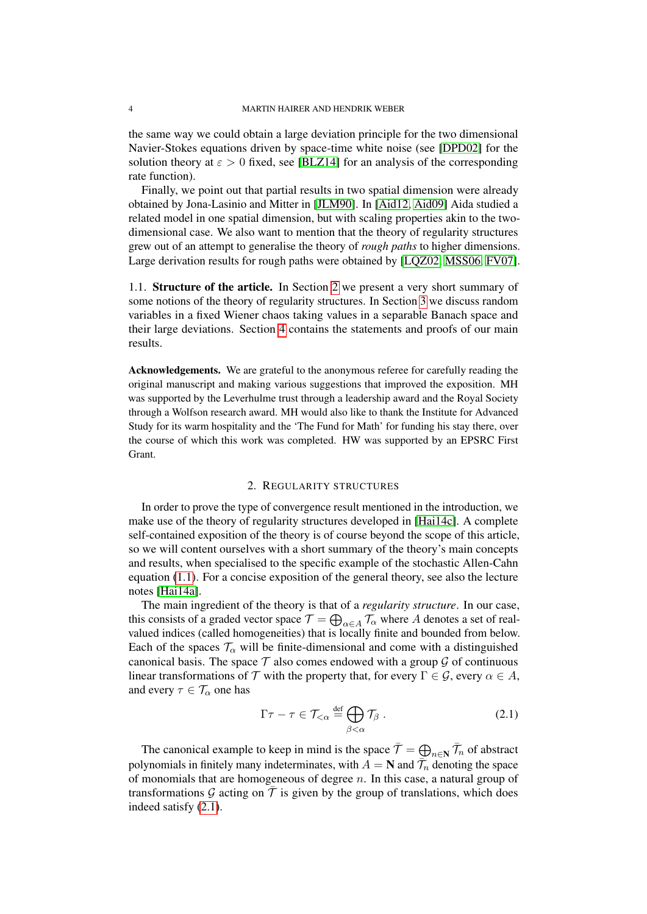the same way we could obtain a large deviation principle for the two dimensional Navier-Stokes equations driven by space-time white noise (see [\[DPD02\]](#page-27-1) for the solution theory at  $\varepsilon > 0$  fixed, see [\[BLZ14\]](#page-27-2) for an analysis of the corresponding rate function).

Finally, we point out that partial results in two spatial dimension were already obtained by Jona-Lasinio and Mitter in [\[JLM90\]](#page-28-7). In [\[Aid12,](#page-27-3) [Aid09\]](#page-27-4) Aida studied a related model in one spatial dimension, but with scaling properties akin to the twodimensional case. We also want to mention that the theory of regularity structures grew out of an attempt to generalise the theory of *rough paths* to higher dimensions. Large derivation results for rough paths were obtained by [\[LQZ02,](#page-28-8) [MSS06,](#page-28-9) [FV07\]](#page-28-10).

1.1. Structure of the article. In Section [2](#page-3-0) we present a very short summary of some notions of the theory of regularity structures. In Section [3](#page-13-1) we discuss random variables in a fixed Wiener chaos taking values in a separable Banach space and their large deviations. Section [4](#page-20-0) contains the statements and proofs of our main results.

Acknowledgements. We are grateful to the anonymous referee for carefully reading the original manuscript and making various suggestions that improved the exposition. MH was supported by the Leverhulme trust through a leadership award and the Royal Society through a Wolfson research award. MH would also like to thank the Institute for Advanced Study for its warm hospitality and the 'The Fund for Math' for funding his stay there, over the course of which this work was completed. HW was supported by an EPSRC First Grant.

## 2. REGULARITY STRUCTURES

<span id="page-3-0"></span>In order to prove the type of convergence result mentioned in the introduction, we make use of the theory of regularity structures developed in [\[Hai14c\]](#page-28-6). A complete self-contained exposition of the theory is of course beyond the scope of this article, so we will content ourselves with a short summary of the theory's main concepts and results, when specialised to the specific example of the stochastic Allen-Cahn equation [\(1.1\)](#page-0-0). For a concise exposition of the general theory, see also the lecture notes [\[Hai14a\]](#page-28-11).

The main ingredient of the theory is that of a *regularity structure*. In our case, this consists of a graded vector space  $\mathcal{T} = \bigoplus_{\alpha \in A} \mathcal{T}_\alpha$  where A denotes a set of realvalued indices (called homogeneities) that is locally finite and bounded from below. Each of the spaces  $\mathcal{T}_{\alpha}$  will be finite-dimensional and come with a distinguished canonical basis. The space  $\mathcal T$  also comes endowed with a group  $\mathcal G$  of continuous linear transformations of T with the property that, for every  $\Gamma \in \mathcal{G}$ , every  $\alpha \in A$ , and every  $\tau \in \mathcal{T}_{\alpha}$  one has

<span id="page-3-1"></span>
$$
\Gamma \tau - \tau \in \mathcal{T}_{<\alpha} \stackrel{\text{def}}{=} \bigoplus_{\beta < \alpha} \mathcal{T}_{\beta} . \tag{2.1}
$$

The canonical example to keep in mind is the space  $\bar{\mathcal{T}} = \bigoplus_{n \in \mathbb{N}} \bar{\mathcal{T}}_n$  of abstract polynomials in finitely many indeterminates, with  $\overline{A} = \mathbf{N}$  and  $\overline{\mathcal{T}}_n$  denoting the space of monomials that are homogeneous of degree  $n$ . In this case, a natural group of transformations G acting on  $\overline{T}$  is given by the group of translations, which does indeed satisfy [\(2.1\)](#page-3-1).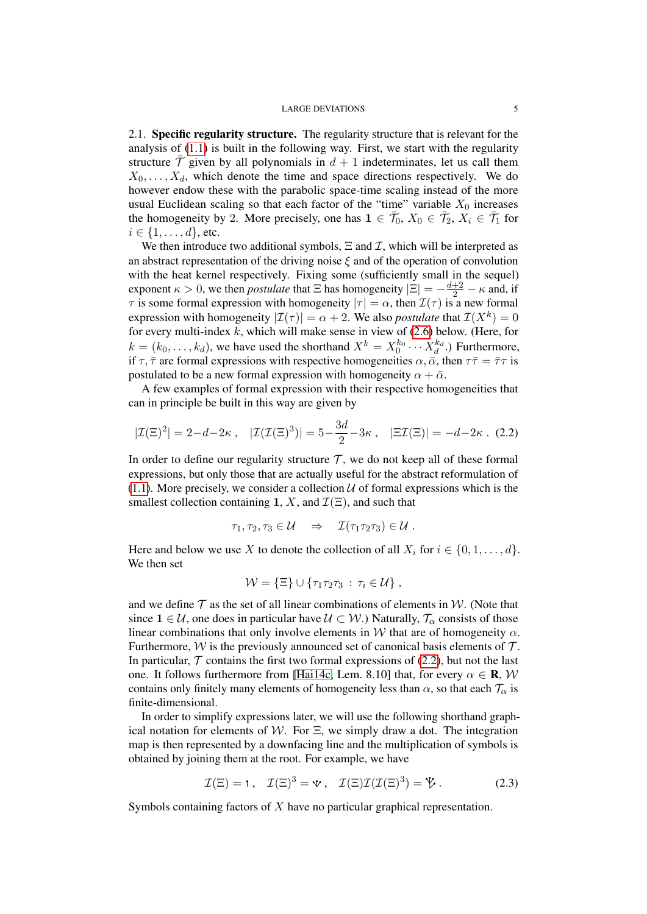2.1. Specific regularity structure. The regularity structure that is relevant for the analysis of [\(1.1\)](#page-0-0) is built in the following way. First, we start with the regularity structure  $\overline{T}$  given by all polynomials in  $d + 1$  indeterminates, let us call them  $X_0, \ldots, X_d$ , which denote the time and space directions respectively. We do however endow these with the parabolic space-time scaling instead of the more usual Euclidean scaling so that each factor of the "time" variable  $X_0$  increases the homogeneity by 2. More precisely, one has  $1 \in \bar{\mathcal{T}}_0$ ,  $X_0 \in \bar{\mathcal{T}}_2$ ,  $X_i \in \bar{\mathcal{T}}_1$  for  $i \in \{1, ..., d\}$ , etc.

We then introduce two additional symbols,  $\Xi$  and  $\mathcal{I}$ , which will be interpreted as an abstract representation of the driving noise  $\xi$  and of the operation of convolution with the heat kernel respectively. Fixing some (sufficiently small in the sequel) exponent  $\kappa > 0$ , we then *postulate* that  $\Xi$  has homogeneity  $|\Xi| = -\frac{d+2}{2} - \kappa$  and, if  $\tau$  is some formal expression with homogeneity  $|\tau| = \alpha$ , then  $\mathcal{I}(\tau)$  is a new formal expression with homogeneity  $|\mathcal{I}(\tau)| = \alpha + 2$ . We also *postulate* that  $\mathcal{I}(X^k) = 0$ for every multi-index  $k$ , which will make sense in view of  $(2.6)$  below. (Here, for  $k = (k_0, \ldots, k_d)$ , we have used the shorthand  $X^k = X_0^{k_0} \cdots X_d^{k_d}$ .) Furthermore, if  $\tau$ ,  $\bar{\tau}$  are formal expressions with respective homogeneities  $\alpha$ ,  $\bar{\alpha}$ , then  $\tau \bar{\tau} = \bar{\tau} \tau$  is postulated to be a new formal expression with homogeneity  $\alpha + \bar{\alpha}$ .

A few examples of formal expression with their respective homogeneities that can in principle be built in this way are given by

$$
|\mathcal{I}(\Xi)^{2}| = 2 - d - 2\kappa , \quad |\mathcal{I}(\mathcal{I}(\Xi)^{3})| = 5 - \frac{3d}{2} - 3\kappa , \quad |\Xi\mathcal{I}(\Xi)| = -d - 2\kappa . \tag{2.2}
$$

In order to define our regularity structure  $\mathcal{T}$ , we do not keep all of these formal expressions, but only those that are actually useful for the abstract reformulation of [\(1.1\)](#page-0-0). More precisely, we consider a collection  $U$  of formal expressions which is the smallest collection containing 1, X, and  $\mathcal{I}(\Xi)$ , and such that

<span id="page-4-0"></span>
$$
\tau_1, \tau_2, \tau_3 \in \mathcal{U} \quad \Rightarrow \quad \mathcal{I}(\tau_1 \tau_2 \tau_3) \in \mathcal{U} \ .
$$

Here and below we use X to denote the collection of all  $X_i$  for  $i \in \{0, 1, \ldots, d\}$ . We then set

$$
\mathcal{W} = \{\Xi\} \cup \{\tau_1 \tau_2 \tau_3 \,:\, \tau_i \in \mathcal{U}\},
$$

and we define  $\mathcal T$  as the set of all linear combinations of elements in  $\mathcal W$ . (Note that since  $1 \in \mathcal{U}$ , one does in particular have  $\mathcal{U} \subset \mathcal{W}$ .) Naturally,  $\mathcal{T}_{\alpha}$  consists of those linear combinations that only involve elements in W that are of homogeneity  $\alpha$ . Furthermore,  $W$  is the previously announced set of canonical basis elements of  $T$ . In particular,  $\mathcal T$  contains the first two formal expressions of [\(2.2\)](#page-4-0), but not the last one. It follows furthermore from [\[Hai14c,](#page-28-6) Lem. 8.10] that, for every  $\alpha \in \mathbf{R}$ , W contains only finitely many elements of homogeneity less than  $\alpha$ , so that each  $\mathcal{T}_{\alpha}$  is finite-dimensional.

In order to simplify expressions later, we will use the following shorthand graphical notation for elements of W. For  $\Xi$ , we simply draw a dot. The integration map is then represented by a downfacing line and the multiplication of symbols is obtained by joining them at the root. For example, we have

<span id="page-4-1"></span>
$$
\mathcal{I}(\Xi) = \mathbf{1}, \quad \mathcal{I}(\Xi)^3 = \mathbf{\hat{v}}, \quad \mathcal{I}(\Xi)\mathcal{I}(\mathcal{I}(\Xi)^3) = \mathbf{\hat{V}}.
$$
 (2.3)

Symbols containing factors of X have no particular graphical representation.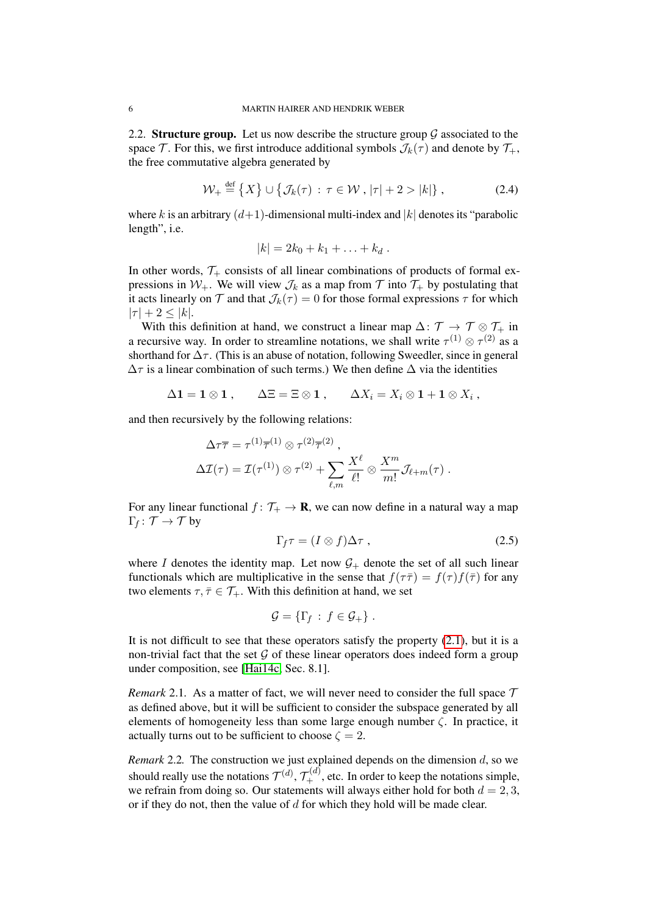2.2. Structure group. Let us now describe the structure group  $\mathcal G$  associated to the space T. For this, we first introduce additional symbols  $\mathcal{J}_k(\tau)$  and denote by  $\mathcal{T}_+,$ the free commutative algebra generated by

$$
\mathcal{W}_{+} \stackrel{\text{def}}{=} \left\{ X \right\} \cup \left\{ \mathcal{J}_{k}(\tau) : \tau \in \mathcal{W}, |\tau| + 2 > |k| \right\},\tag{2.4}
$$

where k is an arbitrary  $(d+1)$ -dimensional multi-index and |k| denotes its "parabolic length", i.e.

$$
|k|=2k_0+k_1+\ldots+k_d.
$$

In other words,  $\mathcal{T}_+$  consists of all linear combinations of products of formal expressions in  $W_+$ . We will view  $\mathcal{J}_k$  as a map from  $\mathcal T$  into  $\mathcal T_+$  by postulating that it acts linearly on T and that  $\mathcal{J}_k(\tau) = 0$  for those formal expressions  $\tau$  for which  $|\tau| + 2 \leq |k|.$ 

With this definition at hand, we construct a linear map  $\Delta: \mathcal{T} \to \mathcal{T} \otimes \mathcal{T}^+$  in a recursive way. In order to streamline notations, we shall write  $\tau^{(1)} \otimes \tau^{(2)}$  as a shorthand for  $\Delta \tau$ . (This is an abuse of notation, following Sweedler, since in general  $\Delta \tau$  is a linear combination of such terms.) We then define  $\Delta$  via the identities

$$
\Delta \mathbf{1} = \mathbf{1} \otimes \mathbf{1} , \qquad \Delta \Xi = \Xi \otimes \mathbf{1} , \qquad \Delta X_i = X_i \otimes \mathbf{1} + \mathbf{1} \otimes X_i ,
$$

and then recursively by the following relations:

$$
\Delta \tau \overline{\tau} = \tau^{(1)} \overline{\tau}^{(1)} \otimes \tau^{(2)} \overline{\tau}^{(2)},
$$
  

$$
\Delta \mathcal{I}(\tau) = \mathcal{I}(\tau^{(1)}) \otimes \tau^{(2)} + \sum_{\ell,m} \frac{X^{\ell}}{\ell!} \otimes \frac{X^m}{m!} \mathcal{J}_{\ell+m}(\tau).
$$

For any linear functional  $f: \mathcal{T}_+ \to \mathbf{R}$ , we can now define in a natural way a map  $\Gamma_f \colon \mathcal{T} \to \mathcal{T}$  by

<span id="page-5-1"></span>
$$
\Gamma_f \tau = (I \otimes f) \Delta \tau , \qquad (2.5)
$$

where I denotes the identity map. Let now  $G_+$  denote the set of all such linear functionals which are multiplicative in the sense that  $f(\tau \bar{\tau}) = f(\tau) f(\bar{\tau})$  for any two elements  $\tau, \bar{\tau} \in \mathcal{T}_+$ . With this definition at hand, we set

$$
\mathcal{G} = \{ \Gamma_f : f \in \mathcal{G}_+ \} .
$$

It is not difficult to see that these operators satisfy the property  $(2.1)$ , but it is a non-trivial fact that the set  $\mathcal G$  of these linear operators does indeed form a group under composition, see [\[Hai14c,](#page-28-6) Sec. 8.1].

<span id="page-5-0"></span>*Remark* 2.1. As a matter of fact, we will never need to consider the full space  $\mathcal T$ as defined above, but it will be sufficient to consider the subspace generated by all elements of homogeneity less than some large enough number  $\zeta$ . In practice, it actually turns out to be sufficient to choose  $\zeta = 2$ .

*Remark* 2.2. The construction we just explained depends on the dimension d, so we should really use the notations  $\mathcal{T}^{(d)}$ ,  $\mathcal{T}^{(d)}_+$ , etc. In order to keep the notations simple, we refrain from doing so. Our statements will always either hold for both  $d = 2, 3$ , or if they do not, then the value of  $d$  for which they hold will be made clear.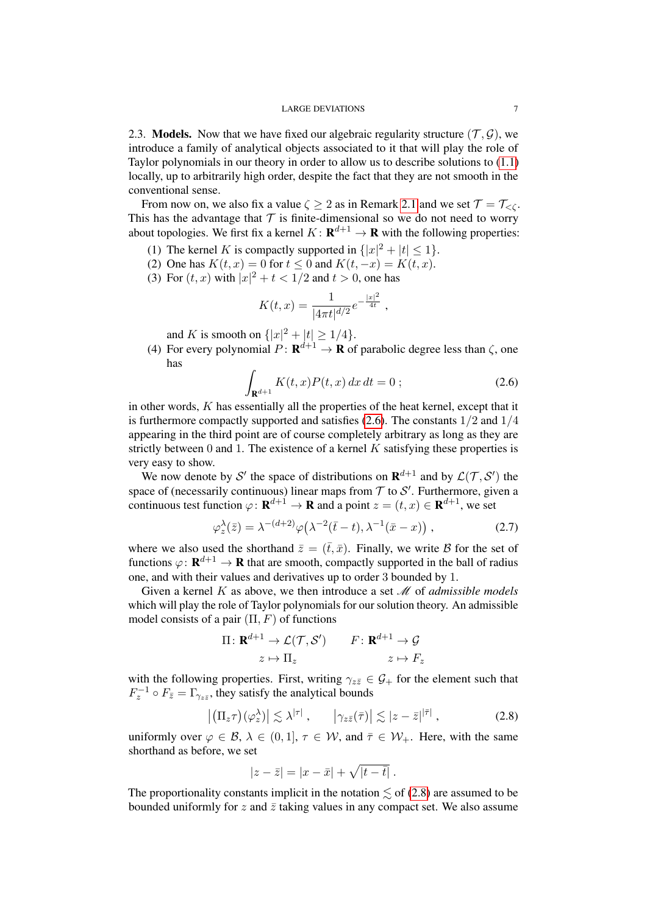<span id="page-6-3"></span>2.3. Models. Now that we have fixed our algebraic regularity structure  $(\mathcal{T}, \mathcal{G})$ , we introduce a family of analytical objects associated to it that will play the role of Taylor polynomials in our theory in order to allow us to describe solutions to [\(1.1\)](#page-0-0) locally, up to arbitrarily high order, despite the fact that they are not smooth in the conventional sense.

From now on, we also fix a value  $\zeta \geq 2$  as in Remark [2.1](#page-5-0) and we set  $\mathcal{T} = \mathcal{T}_{\leq \zeta}$ . This has the advantage that  $T$  is finite-dimensional so we do not need to worry about topologies. We first fix a kernel  $K: \mathbf{R}^{d+1} \to \mathbf{R}$  with the following properties:

- (1) The kernel K is compactly supported in  $\{|x|^2 + |t| \le 1\}$ .
- (2) One has  $K(t, x) = 0$  for  $t < 0$  and  $K(t, -x) = K(t, x)$ .
- (3) For  $(t, x)$  with  $|x|^2 + t < 1/2$  and  $t > 0$ , one has

$$
K(t,x) = \frac{1}{|4\pi t|^{d/2}} e^{-\frac{|x|^2}{4t}} ,
$$

and *K* is smooth on  $\{|x|^2 + |t| \ge 1/4\}$ .

(4) For every polynomial  $P: \mathbf{R}^{d+1} \to \mathbf{R}$  of parabolic degree less than  $\zeta$ , one has

<span id="page-6-0"></span>
$$
\int_{\mathbf{R}^{d+1}} K(t, x) P(t, x) dx dt = 0 ; \qquad (2.6)
$$

in other words,  $K$  has essentially all the properties of the heat kernel, except that it is furthermore compactly supported and satisfies  $(2.6)$ . The constants  $1/2$  and  $1/4$ appearing in the third point are of course completely arbitrary as long as they are strictly between  $0$  and  $1$ . The existence of a kernel  $K$  satisfying these properties is very easy to show.

We now denote by S' the space of distributions on  $\mathbf{R}^{d+1}$  and by  $\mathcal{L}(\mathcal{T}, \mathcal{S}')$  the space of (necessarily continuous) linear maps from  $\mathcal T$  to  $\mathcal S'$ . Furthermore, given a continuous test function  $\varphi \colon \mathbf{R}^{d+1} \to \mathbf{R}$  and a point  $z = (t, x) \in \mathbf{R}^{d+1}$ , we set

<span id="page-6-2"></span>
$$
\varphi_z^{\lambda}(\bar{z}) = \lambda^{-(d+2)} \varphi\big(\lambda^{-2}(\bar{t}-t), \lambda^{-1}(\bar{x}-x)\big) , \qquad (2.7)
$$

where we also used the shorthand  $\bar{z} = (\bar{t}, \bar{x})$ . Finally, we write B for the set of functions  $\varphi: \mathbf{R}^{d+1} \to \mathbf{R}$  that are smooth, compactly supported in the ball of radius one, and with their values and derivatives up to order 3 bounded by 1.

Given a kernel K as above, we then introduce a set M of *admissible models* which will play the role of Taylor polynomials for our solution theory. An admissible model consists of a pair  $(\Pi, F)$  of functions

$$
\Pi: \mathbf{R}^{d+1} \to \mathcal{L}(\mathcal{T}, \mathcal{S}') \qquad F: \mathbf{R}^{d+1} \to \mathcal{G}
$$

$$
z \mapsto \Pi_z \qquad \qquad z \mapsto F_z
$$

with the following properties. First, writing  $\gamma_{z\bar{z}} \in \mathcal{G}_+$  for the element such that  $F_z^{-1} \circ F_{\bar{z}} = \Gamma_{\gamma_{z\bar{z}}}$ , they satisfy the analytical bounds

$$
\left| \left( \Pi_z \tau \right) (\varphi_z^{\lambda}) \right| \lesssim \lambda^{|\tau|} \,, \qquad \left| \gamma_{z\bar{z}} (\bar{\tau}) \right| \lesssim |z - \bar{z}|^{|\bar{\tau}|} \,, \tag{2.8}
$$

uniformly over  $\varphi \in \mathcal{B}, \lambda \in (0,1], \tau \in \mathcal{W},$  and  $\bar{\tau} \in \mathcal{W}_+$ . Here, with the same shorthand as before, we set

<span id="page-6-1"></span>
$$
|z-\overline{z}| = |x-\overline{x}| + \sqrt{|t-\overline{t}|}.
$$

The proportionality constants implicit in the notation  $\lesssim$  of [\(2.8\)](#page-6-1) are assumed to be bounded uniformly for z and  $\bar{z}$  taking values in any compact set. We also assume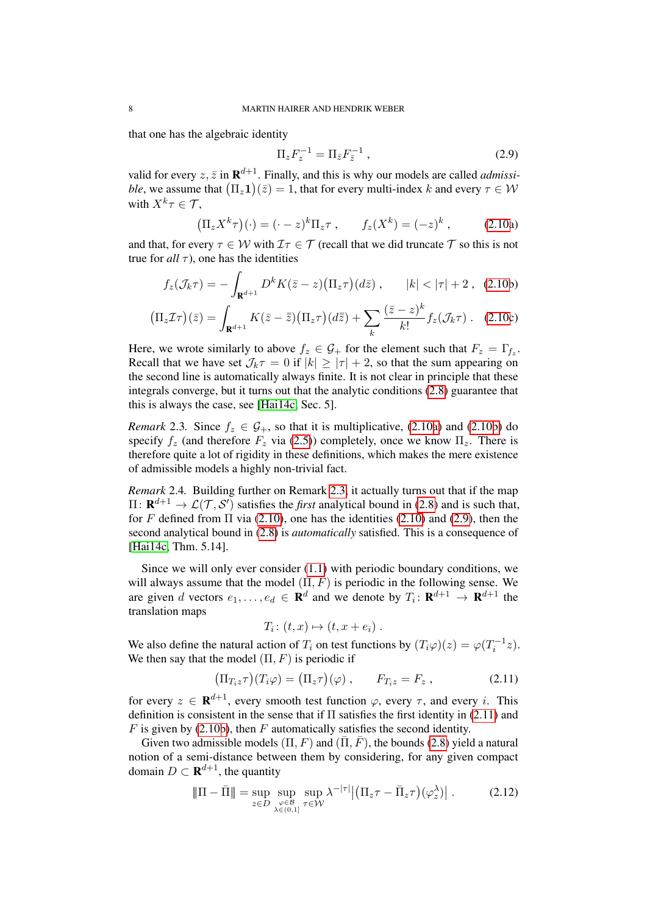that one has the algebraic identity

<span id="page-7-2"></span>
$$
\Pi_z F_z^{-1} = \Pi_{\bar{z}} F_{\bar{z}}^{-1} , \qquad (2.9)
$$

valid for every  $z, \bar{z}$  in  $\mathbf{R}^{d+1}$ . Finally, and this is why our models are called *admissible*, we assume that  $(\Pi_z \mathbf{1})(\bar{z}) = 1$ , that for every multi-index k and every  $\tau \in \mathcal{W}$ with  $X^k \tau \in \mathcal{T}$ ,

<span id="page-7-0"></span>
$$
\left(\Pi_z X^k \tau\right)(\cdot) = (\cdot - z)^k \Pi_z \tau \,, \qquad f_z(X^k) = (-z)^k \,, \tag{2.10a}
$$

and that, for every  $\tau \in \mathcal{W}$  with  $\mathcal{I}\tau \in \mathcal{T}$  (recall that we did truncate  $\mathcal{T}$  so this is not true for  $all \tau$ ), one has the identities

$$
f_z(\mathcal{J}_k \tau) = -\int_{\mathbf{R}^{d+1}} D^k K(\bar{z} - z) \big( \Pi_z \tau \big) (d\bar{z}) \,, \qquad |k| < |\tau| + 2 \,, \tag{2.10b}
$$

$$
\left(\Pi_z \mathcal{I}\tau\right)(\bar{z}) = \int_{\mathbf{R}^{d+1}} K(\bar{z} - \bar{\bar{z}}) \left(\Pi_z \tau\right) (d\bar{\bar{z}}) + \sum_k \frac{(\bar{z} - z)^k}{k!} f_z(\mathcal{J}_k \tau) \ . \tag{2.10c}
$$

Here, we wrote similarly to above  $f_z \in \mathcal{G}_+$  for the element such that  $F_z = \Gamma_{f_z}$ . Recall that we have set  $\mathcal{J}_k \tau = 0$  if  $|k| \ge |\tau| + 2$ , so that the sum appearing on the second line is automatically always finite. It is not clear in principle that these integrals converge, but it turns out that the analytic conditions [\(2.8\)](#page-6-1) guarantee that this is always the case, see [\[Hai14c,](#page-28-6) Sec. 5].

<span id="page-7-1"></span>*Remark* 2.3. Since  $f_z \in \mathcal{G}_+$ , so that it is multiplicative, [\(2.10a\)](#page-7-0) and [\(2.10b\)](#page-7-0) do specify  $f_z$  (and therefore  $F_z$  via [\(2.5\)](#page-5-1)) completely, once we know  $\Pi_z$ . There is therefore quite a lot of rigidity in these definitions, which makes the mere existence of admissible models a highly non-trivial fact.

<span id="page-7-5"></span>*Remark* 2.4*.* Building further on Remark [2.3,](#page-7-1) it actually turns out that if the map  $\Pi\colon \mathbf{R}^{d+1}\to \mathcal{L}(\mathcal{T},\mathcal{S}')$  satisfies the *first* analytical bound in [\(2.8\)](#page-6-1) and is such that, for F defined from  $\Pi$  via [\(2.10\)](#page-7-0), one has the identities (2.10) and [\(2.9\)](#page-7-2), then the second analytical bound in [\(2.8\)](#page-6-1) is *automatically* satisfied. This is a consequence of [\[Hai14c,](#page-28-6) Thm. 5.14].

Since we will only ever consider [\(1.1\)](#page-0-0) with periodic boundary conditions, we will always assume that the model  $(\Pi, F)$  is periodic in the following sense. We are given d vectors  $e_1, \ldots, e_d \in \mathbf{R}^d$  and we denote by  $T_i: \mathbf{R}^{d+1} \to \mathbf{R}^{d+1}$  the translation maps

<span id="page-7-4"></span><span id="page-7-3"></span>
$$
T_i\colon (t,x)\mapsto (t,x+e_i)\ .
$$

We also define the natural action of  $T_i$  on test functions by  $(T_i\varphi)(z) = \varphi(T_i^{-1}z)$ . We then say that the model  $(\Pi, F)$  is periodic if

$$
\left(\Pi_{T_iz}\tau\right)(T_i\varphi) = \left(\Pi_z\tau\right)(\varphi) , \qquad F_{T_iz} = F_z , \qquad (2.11)
$$

for every  $z \in \mathbf{R}^{d+1}$ , every smooth test function  $\varphi$ , every  $\tau$ , and every i. This definition is consistent in the sense that if  $\Pi$  satisfies the first identity in [\(2.11\)](#page-7-3) and  $F$  is given by [\(2.10b\)](#page-7-0), then  $F$  automatically satisfies the second identity.

Given two admissible models  $(\Pi, F)$  and  $(\bar{\Pi}, \bar{F})$ , the bounds [\(2.8\)](#page-6-1) yield a natural notion of a semi-distance between them by considering, for any given compact domain  $D \subset \mathbf{R}^{d+1}$ , the quantity

$$
\|\Pi - \bar{\Pi}\| = \sup_{z \in D} \sup_{\substack{\varphi \in \mathcal{B} \\ \lambda \in (0,1]}} \sup_{\tau \in \mathcal{W}} \lambda^{-|\tau|} \left| \left( \Pi_z \tau - \bar{\Pi}_z \tau \right) (\varphi_z^{\lambda}) \right| \,. \tag{2.12}
$$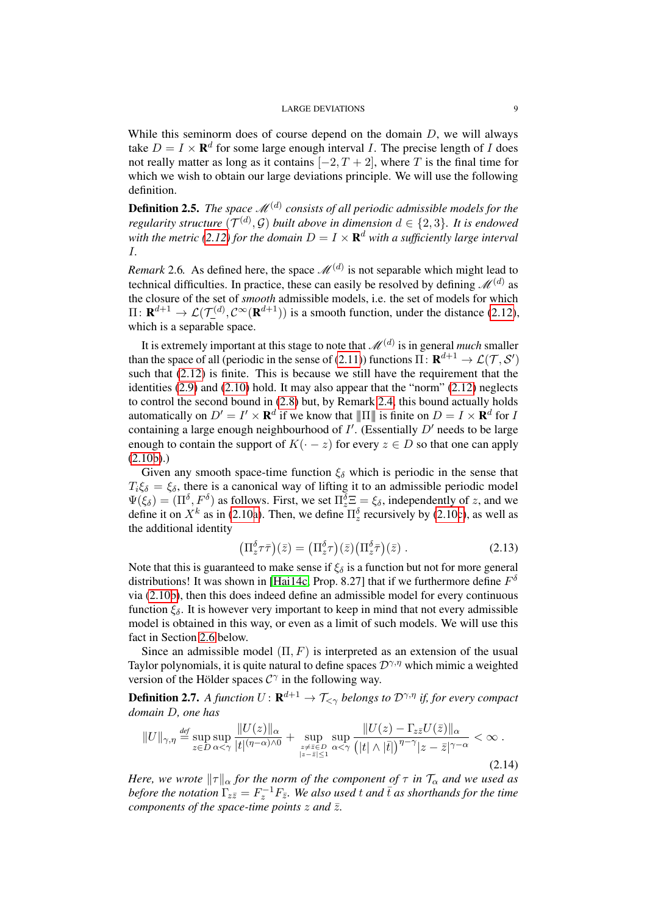While this seminorm does of course depend on the domain  $D$ , we will always take  $D = I \times \mathbf{R}^d$  for some large enough interval *I*. The precise length of *I* does not really matter as long as it contains  $[-2, T + 2]$ , where T is the final time for which we wish to obtain our large deviations principle. We will use the following definition.

**Definition 2.5.** The space  $\mathscr{M}^{(d)}$  consists of all periodic admissible models for the *regularity structure*  $(\mathcal{T}^{(d)}, \mathcal{G})$  *built above in dimension*  $d \in \{2, 3\}$ *. It is endowed* with the metric [\(2.12\)](#page-7-4) for the domain  $D = I \times \mathbf{R}^d$  with a sufficiently large interval I*.*

*Remark* 2.6. As defined here, the space  $\mathcal{M}^{(d)}$  is not separable which might lead to technical difficulties. In practice, these can easily be resolved by defining  $\mathscr{M}^{(d)}$  as the closure of the set of *smooth* admissible models, i.e. the set of models for which  $\Pi\colon \mathbf{R}^{d+1}\to \mathcal{L}(\mathcal{T}_{-}^{(d)},\mathcal{C}^{\infty}(\mathbf{R}^{d+1}))$  is a smooth function, under the distance [\(2.12\)](#page-7-4), which is a separable space.

It is extremely important at this stage to note that  $\mathscr{M}^{(d)}$  is in general *much* smaller than the space of all (periodic in the sense of [\(2.11\)](#page-7-3)) functions  $\Pi\colon \mathbf{R}^{d+1}\to \mathcal{L}(\mathcal{T},\mathcal{S}')$ such that [\(2.12\)](#page-7-4) is finite. This is because we still have the requirement that the identities [\(2.9\)](#page-7-2) and [\(2.10\)](#page-7-0) hold. It may also appear that the "norm" [\(2.12\)](#page-7-4) neglects to control the second bound in [\(2.8\)](#page-6-1) but, by Remark [2.4,](#page-7-5) this bound actually holds automatically on  $D' = I' \times \mathbf{R}^d$  if we know that  $\|\Pi\|$  is finite on  $D = I \times \mathbf{R}^d$  for I containing a large enough neighbourhood of  $I'$ . (Essentially  $D'$  needs to be large enough to contain the support of  $K(-z)$  for every  $z \in D$  so that one can apply [\(2.10b\)](#page-7-0).)

Given any smooth space-time function  $\xi_{\delta}$  which is periodic in the sense that  $T_i \xi_{\delta} = \xi_{\delta}$ , there is a canonical way of lifting it to an admissible periodic model  $\Psi(\xi_\delta) = (\Pi^\delta, F^\delta)$  as follows. First, we set  $\Pi_z^\delta \Xi = \xi_\delta$ , independently of z, and we define it on  $X^k$  as in [\(2.10a\)](#page-7-0). Then, we define  $\Pi_z^{\delta}$  recursively by [\(2.10c\)](#page-7-0), as well as the additional identity

<span id="page-8-1"></span><span id="page-8-0"></span>
$$
\left(\Pi_z^{\delta}\tau\bar{\tau}\right)(\bar{z}) = \left(\Pi_z^{\delta}\tau\right)(\bar{z})\left(\Pi_z^{\delta}\bar{\tau}\right)(\bar{z})\,. \tag{2.13}
$$

Note that this is guaranteed to make sense if  $\xi_{\delta}$  is a function but not for more general distributions! It was shown in [\[Hai14c,](#page-28-6) Prop. 8.27] that if we furthermore define  $F^{\delta}$ via [\(2.10b\)](#page-7-0), then this does indeed define an admissible model for every continuous function  $\xi_{\delta}$ . It is however very important to keep in mind that not every admissible model is obtained in this way, or even as a limit of such models. We will use this fact in Section [2.6](#page-12-0) below.

Since an admissible model  $(\Pi, F)$  is interpreted as an extension of the usual Taylor polynomials, it is quite natural to define spaces  $\mathcal{D}^{\gamma,\eta}$  which mimic a weighted version of the Hölder spaces  $C^{\gamma}$  in the following way.

**Definition 2.7.** A function  $U \colon \mathbf{R}^{d+1} \to \mathcal{T}_{\leq \gamma}$  belongs to  $\mathcal{D}^{\gamma,\eta}$  if, for every compact *domain* D*, one has*

$$
||U||_{\gamma,\eta} \stackrel{\text{def}}{=} \sup_{z \in D} \sup_{\alpha < \gamma} \frac{||U(z)||_{\alpha}}{|t|^{(\eta-\alpha)\wedge 0}} + \sup_{\substack{z \neq \bar{z} \in D \\ |z-\bar{z}|\leq 1}} \sup_{\alpha < \gamma} \frac{||U(z) - \Gamma_{z\bar{z}} U(\bar{z})||_{\alpha}}{\left(|t| \wedge |\bar{t}|\right)^{\eta-\gamma} |z-\bar{z}|^{\gamma-\alpha}} < \infty. \tag{2.14}
$$

*Here, we wrote*  $\|\tau\|_{\alpha}$  *for the norm of the component of*  $\tau$  *in*  $\mathcal{T}_{\alpha}$  *and we used as* before the notation  $\Gamma_{z\bar{z}} = F_z^{-1}F_{\bar{z}}$ . We also used t and  $\bar{t}$  as shorthands for the time *components of the space-time points*  $z$  *and*  $\overline{z}$ *.*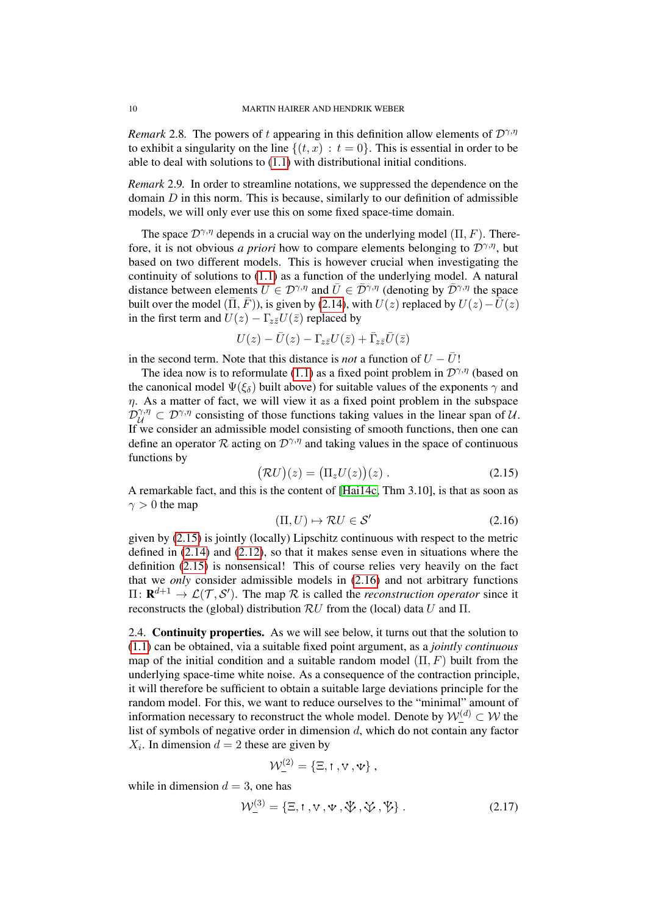*Remark* 2.8. The powers of t appearing in this definition allow elements of  $\mathcal{D}^{\gamma,\eta}$ to exhibit a singularity on the line  $\{(t, x) : t = 0\}$ . This is essential in order to be able to deal with solutions to [\(1.1\)](#page-0-0) with distributional initial conditions.

*Remark* 2.9*.* In order to streamline notations, we suppressed the dependence on the domain  $D$  in this norm. This is because, similarly to our definition of admissible models, we will only ever use this on some fixed space-time domain.

The space  $\mathcal{D}^{\gamma,\eta}$  depends in a crucial way on the underlying model (Π, F). Therefore, it is not obvious *a priori* how to compare elements belonging to  $\mathcal{D}^{\gamma,\eta}$ , but based on two different models. This is however crucial when investigating the continuity of solutions to [\(1.1\)](#page-0-0) as a function of the underlying model. A natural distance between elements  $U \in \mathcal{D}^{\gamma,\eta}$  and  $\overline{U} \in \overline{\mathcal{D}}^{\gamma,\eta}$  (denoting by  $\overline{\mathcal{D}}^{\gamma,\eta}$  the space built over the model ( $(\bar{\Pi}, \bar{F})$ ), is given by [\(2.14\)](#page-8-0), with  $U(z)$  replaced by  $U(z) - \bar{U}(z)$ in the first term and  $U(z) - \Gamma_{z\bar{z}}U(\bar{z})$  replaced by

$$
U(z)-\bar{U}(z)-\Gamma_{z\bar{z}}U(\bar{z})+\bar{\Gamma}_{z\bar{z}}\bar{U}(\bar{z})
$$

in the second term. Note that this distance is *not* a function of  $U - \overline{U}$ !

The idea now is to reformulate [\(1.1\)](#page-0-0) as a fixed point problem in  $\mathcal{D}^{\gamma,\eta}$  (based on the canonical model  $\Psi(\xi_{\delta})$  built above) for suitable values of the exponents  $\gamma$  and  $\eta$ . As a matter of fact, we will view it as a fixed point problem in the subspace  $\mathcal{D}_{\mathcal{U}}^{\gamma,\eta} \subset \mathcal{D}^{\gamma,\eta}$  consisting of those functions taking values in the linear span of U. If we consider an admissible model consisting of smooth functions, then one can define an operator R acting on  $\mathcal{D}^{\gamma,\eta}$  and taking values in the space of continuous functions by

$$
(\mathcal{R}U)(z) = (\Pi_z U(z))(z) . \tag{2.15}
$$

A remarkable fact, and this is the content of [\[Hai14c,](#page-28-6) Thm 3.10], is that as soon as  $\gamma > 0$  the map

<span id="page-9-1"></span><span id="page-9-0"></span>
$$
(\Pi, U) \mapsto \mathcal{R}U \in \mathcal{S}' \tag{2.16}
$$

given by [\(2.15\)](#page-9-0) is jointly (locally) Lipschitz continuous with respect to the metric defined in [\(2.14\)](#page-8-0) and [\(2.12\)](#page-7-4), so that it makes sense even in situations where the definition [\(2.15\)](#page-9-0) is nonsensical! This of course relies very heavily on the fact that we *only* consider admissible models in [\(2.16\)](#page-9-1) and not arbitrary functions  $\Pi: \mathbf{R}^{d+1} \to \mathcal{L}(\mathcal{T}, \mathcal{S}')$ . The map R is called the *reconstruction operator* since it reconstructs the (global) distribution  $\mathcal{R}U$  from the (local) data U and  $\Pi$ .

<span id="page-9-2"></span>2.4. Continuity properties. As we will see below, it turns out that the solution to [\(1.1\)](#page-0-0) can be obtained, via a suitable fixed point argument, as a *jointly continuous* map of the initial condition and a suitable random model  $(\Pi, F)$  built from the underlying space-time white noise. As a consequence of the contraction principle, it will therefore be sufficient to obtain a suitable large deviations principle for the random model. For this, we want to reduce ourselves to the "minimal" amount of information necessary to reconstruct the whole model. Denote by  $W_{-}^{(d)} \subset W$  the list of symbols of negative order in dimension d, which do not contain any factor  $X_i$ . In dimension  $d = 2$  these are given by

$$
\mathcal{W}_{-}^{(2)}=\left\{ \Xi, \mathsf{1}, \mathsf{v}\,, \mathsf{\Psi} \right\},
$$

while in dimension  $d = 3$ , one has

$$
\mathcal{W}^{(3)}_{-} = \{\Xi, \mathbf{1}, \mathbf{V}, \Psi, \mathbf{\ddot{V}}, \mathbf{\ddot{V}}, \mathbf{\ddot{V}}\}.
$$
 (2.17)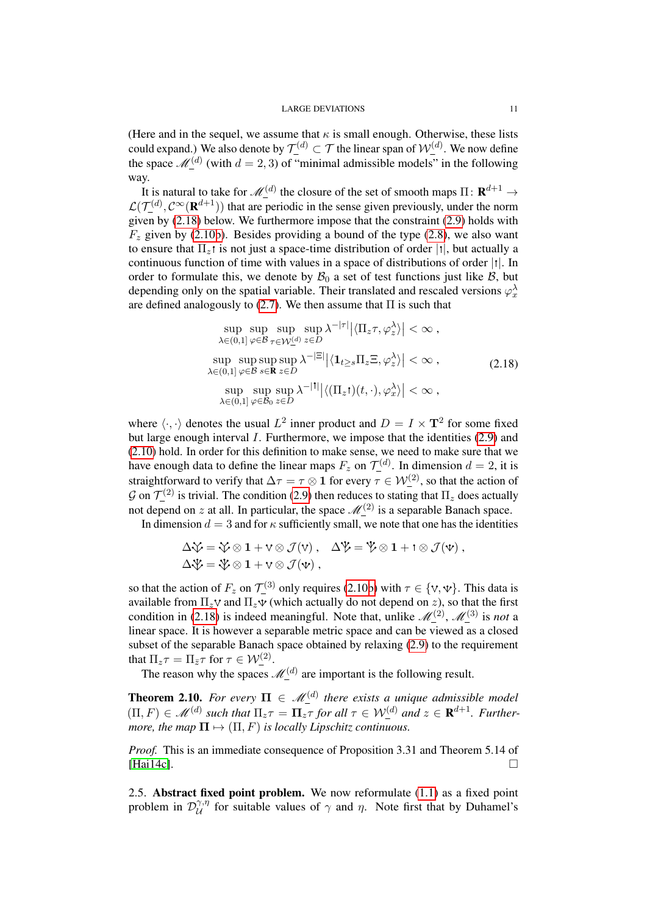(Here and in the sequel, we assume that  $\kappa$  is small enough. Otherwise, these lists could expand.) We also denote by  $\mathcal{T}^{(d)} \subset \mathcal{T}$  the linear span of  $\mathcal{W}^{(d)}_{-}$ . We now define the space  $\mathcal{M}_{-}^{(d)}$  (with  $d = 2, 3$ ) of "minimal admissible models" in the following way.

It is natural to take for  $\mathscr{M}^{(d)}_-$  the closure of the set of smooth maps  $\Pi\colon \mathbf{R}^{d+1}\to$  $\mathcal{L}(\mathcal{T}^{(d)}_-, \mathcal{C}^\infty(\mathbf{R}^{d+1}))$  that are periodic in the sense given previously, under the norm given by [\(2.18\)](#page-10-0) below. We furthermore impose that the constraint [\(2.9\)](#page-7-2) holds with  $F<sub>z</sub>$  given by [\(2.10b\)](#page-7-0). Besides providing a bound of the type [\(2.8\)](#page-6-1), we also want to ensure that  $\Pi_z$  is not just a space-time distribution of order  $|t|$ , but actually a continuous function of time with values in a space of distributions of order  $|t|$ . In order to formulate this, we denote by  $\mathcal{B}_0$  a set of test functions just like  $\mathcal{B}$ , but depending only on the spatial variable. Their translated and rescaled versions  $\varphi_x^{\lambda}$ are defined analogously to [\(2.7\)](#page-6-2). We then assume that  $\Pi$  is such that

<span id="page-10-0"></span>
$$
\sup_{\lambda \in (0,1]} \sup_{\varphi \in \mathcal{B}} \sup_{\tau \in \mathcal{W}_{-}^{(d)}} \sup_{z \in D} \lambda^{-|\tau|} |\langle \Pi_z \tau, \varphi_z^{\lambda} \rangle| < \infty ,
$$
  
\n
$$
\sup_{\lambda \in (0,1]} \sup_{\varphi \in \mathcal{B}} \sup_{s \in \mathbf{R}} \sup_{z \in D} \lambda^{-|\Xi|} |\langle \mathbf{1}_{t \ge s} \Pi_z \Xi, \varphi_z^{\lambda} \rangle| < \infty ,
$$
  
\n
$$
\sup_{\lambda \in (0,1]} \sup_{\varphi \in \mathcal{B}_0} \sup_{z \in D} \lambda^{-|\tau|} |\langle (\Pi_z \tau)(t,\cdot), \varphi_x^{\lambda} \rangle| < \infty ,
$$
  
\n(2.18)

where  $\langle \cdot, \cdot \rangle$  denotes the usual  $L^2$  inner product and  $D = I \times \mathbf{T}^2$  for some fixed but large enough interval I. Furthermore, we impose that the identities [\(2.9\)](#page-7-2) and [\(2.10\)](#page-7-0) hold. In order for this definition to make sense, we need to make sure that we have enough data to define the linear maps  $F_z$  on  $\mathcal{T}_{-}^{(d)}$ . In dimension  $d=2$ , it is straightforward to verify that  $\Delta \tau = \tau \otimes \mathbf{1}$  for every  $\tau \in \mathcal{W}^{(2)}$ , so that the action of G on  $\mathcal{T}^{(2)}$  is trivial. The condition [\(2.9\)](#page-7-2) then reduces to stating that  $\Pi_z$  does actually not depend on z at all. In particular, the space  $\mathcal{M}^{(2)}$  is a separable Banach space.

In dimension  $d = 3$  and for  $\kappa$  sufficiently small, we note that one has the identities

$$
\Delta \mathfrak{V} = \mathfrak{V} \otimes 1 + \mathfrak{V} \otimes \mathcal{J}(\mathfrak{V}), \quad \Delta \mathfrak{V} = \mathfrak{V} \otimes 1 + \mathfrak{t} \otimes \mathcal{J}(\mathfrak{V}), \Delta \mathfrak{V} = \mathfrak{V} \otimes 1 + \mathfrak{V} \otimes \mathcal{J}(\mathfrak{V}),
$$

so that the action of  $F_z$  on  $\mathcal{T}^{(3)}$  only requires [\(2.10b\)](#page-7-0) with  $\tau \in \{\vee, \vee\}$ . This data is available from  $\Pi_z$  and  $\Pi_z$  (which actually do not depend on z), so that the first condition in [\(2.18\)](#page-10-0) is indeed meaningful. Note that, unlike  $\mathcal{M}_{\_}^{(2)}$ ,  $\mathcal{M}_{\_}^{(3)}$  is *not* a linear space. It is however a separable metric space and can be viewed as a closed subset of the separable Banach space obtained by relaxing [\(2.9\)](#page-7-2) to the requirement that  $\Pi_z \tau = \Pi_{\bar{z}} \tau$  for  $\tau \in \mathcal{W}^{(2)}_-$ .

The reason why the spaces  $\mathcal{M}_{-}^{(d)}$  are important is the following result.

<span id="page-10-1"></span>**Theorem 2.10.** For every  $\Pi \in \mathcal{M}_{-}^{(d)}$  there exists a unique admissible model  $(H, F) \in \mathcal{M}^{(d)}$  such that  $\Pi_z \tau = \Pi_z \tau$  for all  $\tau \in \mathcal{W}^{(d)}_-$  and  $z \in \mathbf{R}^{d+1}$ . Further*more, the map*  $\Pi \mapsto (\Pi, F)$  *is locally Lipschitz continuous.* 

*Proof.* This is an immediate consequence of Proposition 3.31 and Theorem 5.14 of [\[Hai14c\]](#page-28-6).  $\Box$ 

2.5. Abstract fixed point problem. We now reformulate  $(1.1)$  as a fixed point problem in  $\mathcal{D}_{\mathcal{U}}^{\gamma,\eta}$  $\mathcal{U}^{\gamma,\eta}_{\mathcal{U}}$  for suitable values of  $\gamma$  and  $\eta$ . Note first that by Duhamel's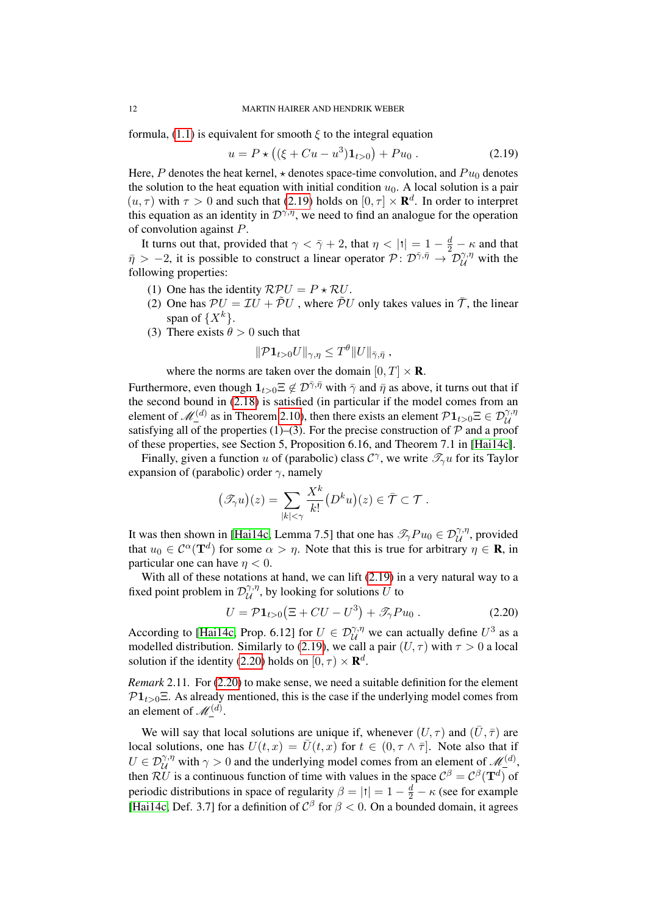formula, [\(1.1\)](#page-0-0) is equivalent for smooth  $\xi$  to the integral equation

<span id="page-11-0"></span>
$$
u = P \star ((\xi + Cu - u^3) \mathbf{1}_{t>0}) + Pu_0.
$$
 (2.19)

Here, P denotes the heat kernel,  $\star$  denotes space-time convolution, and  $Pu_0$  denotes the solution to the heat equation with initial condition  $u_0$ . A local solution is a pair  $(u, \tau)$  with  $\tau > 0$  and such that [\(2.19\)](#page-11-0) holds on  $[0, \tau] \times \mathbb{R}^d$ . In order to interpret this equation as an identity in  $\mathcal{D}^{\gamma,\eta}$ , we need to find an analogue for the operation of convolution against P.

It turns out that, provided that  $\gamma < \bar{\gamma} + 2$ , that  $\eta < |t| = 1 - \frac{d}{2} - \kappa$  and that  $\bar{\eta} > -2$ , it is possible to construct a linear operator  $\mathcal{P} : \mathcal{D}^{\bar{\gamma}, \bar{\eta}} \to \mathcal{D}^{\gamma, \eta}_{\mathcal{U}}$  with the following properties:

- (1) One has the identity  $RPU = P \star RU$ .
- (2) One has  $PU = TU + \tilde{P}U$ , where  $\tilde{P}U$  only takes values in  $\bar{T}$ , the linear span of  $\{X^k\}.$
- (3) There exists  $\theta > 0$  such that

$$
\|\mathcal{P} \mathbf{1}_{t>0}U\|_{\gamma,\eta} \leq T^{\theta} \|U\|_{\bar{\gamma},\bar{\eta}} ,
$$

where the norms are taken over the domain  $[0, T] \times \mathbf{R}$ .

Furthermore, even though  $1_{t>0}\Xi \notin \mathcal{D}^{\bar{\gamma},\bar{\eta}}$  with  $\bar{\gamma}$  and  $\bar{\eta}$  as above, it turns out that if the second bound in [\(2.18\)](#page-10-0) is satisfied (in particular if the model comes from an element of  $\mathcal{M}_{-}^{(d)}$  as in Theorem [2.10\)](#page-10-1), then there exists an element  $\mathcal{P}1_{t>0}\Xi \in \mathcal{D}_{\mathcal{U}}^{\gamma,\eta}$  satisfying all of the properties (1)–(3). For the precise construction of  $\mathcal P$  and a proof of these properties, see Section 5, Proposition 6.16, and Theorem 7.1 in [\[Hai14c\]](#page-28-6).

Finally, given a function u of (parabolic) class  $\mathcal{C}^{\gamma}$ , we write  $\mathcal{I}_{\gamma}u$  for its Taylor expansion of (parabolic) order  $\gamma$ , namely

$$
(\mathscr{T}_{\gamma}u)(z) = \sum_{|k| \leq \gamma} \frac{X^k}{k!} (D^k u)(z) \in \overline{\mathcal{T}} \subset \mathcal{T}.
$$

It was then shown in [\[Hai14c,](#page-28-6) Lemma 7.5] that one has  $\mathscr{T}_{\gamma}Pu_0 \in \mathcal{D}_{\mathcal{U}}^{\gamma,\eta}$ , provided that  $u_0 \in C^{\alpha}(\mathbf{T}^d)$  for some  $\alpha > \eta$ . Note that this is true for arbitrary  $\eta \in \mathbf{R}$ , in particular one can have  $n < 0$ .

With all of these notations at hand, we can lift [\(2.19\)](#page-11-0) in a very natural way to a fixed point problem in  $\mathcal{D}_{\mathcal{U}}^{\gamma,\eta}$  $\mathcal{U}^{\gamma,\eta}$ , by looking for solutions U to

<span id="page-11-1"></span>
$$
U = \mathcal{P}1_{t>0}(\Xi + CU - U^3) + \mathcal{I}_\gamma P u_0.
$$
 (2.20)

According to [\[Hai14c,](#page-28-6) Prop. 6.12] for  $U \in \mathcal{D}_{\mathcal{U}}^{\gamma,\eta}$  we can actually define  $U^3$  as a modelled distribution. Similarly to [\(2.19\)](#page-11-0), we call a pair  $(U, \tau)$  with  $\tau > 0$  a local solution if the identity [\(2.20\)](#page-11-1) holds on  $[0, \tau) \times \mathbb{R}^d$ .

*Remark* 2.11*.* For [\(2.20\)](#page-11-1) to make sense, we need a suitable definition for the element  $\mathcal{P}1_{t>0}E$ . As already mentioned, this is the case if the underlying model comes from an element of  $\mathscr{M}^{(d)}_-$ .

We will say that local solutions are unique if, whenever  $(U, \tau)$  and  $(\bar{U}, \bar{\tau})$  are local solutions, one has  $U(t, x) = \overline{U}(t, x)$  for  $t \in (0, \tau \wedge \overline{\tau}]$ . Note also that if  $U \in \mathcal{D}_{\mathcal{U}}^{\gamma,\eta}$  with  $\gamma > 0$  and the underlying model comes from an element of  $\mathcal{M}_{-}^{(d)}$ , then  $\mathcal{R}U$  is a continuous function of time with values in the space  $\mathcal{C}^{\beta} = \mathcal{C}^{\beta}(\mathbf{T}^{d})$  of periodic distributions in space of regularity  $\beta = |t| = 1 - \frac{d}{2} - \kappa$  (see for example [\[Hai14c,](#page-28-6) Def. 3.7] for a definition of  $C^{\beta}$  for  $\beta < 0$ . On a bounded domain, it agrees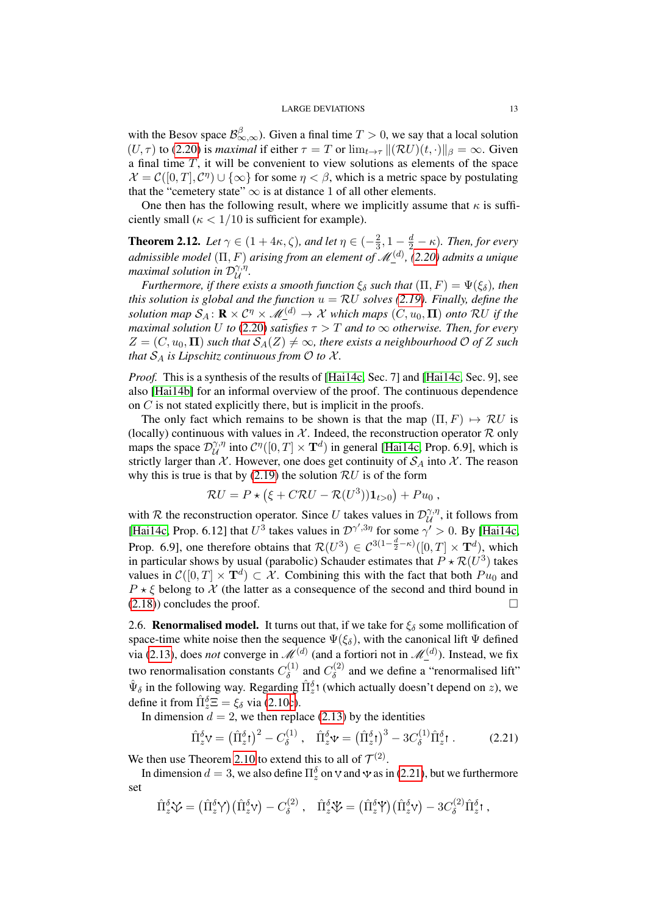with the Besov space  $\mathcal{B}_{\infty,\infty}^{\beta}$ ). Given a final time  $T > 0$ , we say that a local solution  $(U, \tau)$  to [\(2.20\)](#page-11-1) is *maximal* if either  $\tau = T$  or  $\lim_{t \to \tau} ||(\mathcal{R}U)(t, \cdot)||_{\beta} = \infty$ . Given a final time  $T$ , it will be convenient to view solutions as elements of the space  $\mathcal{X} = \mathcal{C}([0,T], \mathcal{C}^{\eta}) \cup \{\infty\}$  for some  $\eta < \beta$ , which is a metric space by postulating that the "cemetery state"  $\infty$  is at distance 1 of all other elements.

One then has the following result, where we implicitly assume that  $\kappa$  is sufficiently small ( $\kappa < 1/10$  is sufficient for example).

<span id="page-12-2"></span>**Theorem 2.12.** *Let*  $\gamma \in (1 + 4\kappa, \zeta)$ *, and let*  $\eta \in (-\frac{2}{3})$  $(\frac{2}{3}, 1 - \frac{d}{2} - \kappa)$ . Then, for every *admissible model* (Π, F) *arising from an element of* M(d) *, [\(2.20\)](#page-11-1) admits a unique maximal solution in*  $\mathcal{D}^{\gamma,\eta}_{\mathcal{U}}$ U *.*

*Furthermore, if there exists a smooth function*  $\xi_{\delta}$  *such that*  $(\Pi, F) = \Psi(\xi_{\delta})$ *, then this solution is global and the function*  $u = RU$  *solves* [\(2.19\)](#page-11-0)*. Finally, define the solution map*  $S_A: \mathbf{R} \times C^{\eta} \times M_{\mathbf{A}}^{(d)} \to \mathcal{X}$  *which maps*  $(C, u_0, \Pi)$  *onto*  $\mathcal{R}U$  *if the maximal solution* U *to* [\(2.20\)](#page-11-1) *satisfies*  $\tau > T$  *and to*  $\infty$  *otherwise. Then, for every*  $Z = (C, u_0, \Pi)$  *such that*  $S_A(Z) \neq \infty$ *, there exists a neighbourhood* O *of* Z *such that*  $S_A$  *is Lipschitz continuous from*  $O$  *to*  $X$ *.* 

*Proof.* This is a synthesis of the results of [\[Hai14c,](#page-28-6) Sec. 7] and [Hai14c, Sec. 9], see also [\[Hai14b\]](#page-28-12) for an informal overview of the proof. The continuous dependence on C is not stated explicitly there, but is implicit in the proofs.

The only fact which remains to be shown is that the map  $(\Pi, F) \mapsto \mathcal{R}U$  is (locally) continuous with values in  $X$ . Indeed, the reconstruction operator  $R$  only maps the space  $\mathcal{D}_{\mathcal{U}}^{\gamma,\eta}$  $\mathcal{C}^{\eta}([0,T] \times \mathbf{T}^d)$  in general [\[Hai14c,](#page-28-6) Prop. 6.9], which is strictly larger than  $\mathcal X$ . However, one does get continuity of  $\mathcal S_A$  into  $\mathcal X$ . The reason why this is true is that by  $(2.19)$  the solution  $RU$  is of the form

$$
\mathcal{R}U = P \star (\xi + C\mathcal{R}U - \mathcal{R}(U^3))\mathbf{1}_{t>0}) + Pu_0,
$$

with R the reconstruction operator. Since U takes values in  $\mathcal{D}_{\mathcal{U}}^{\gamma,\eta}$  $\mathcal{U}^{\gamma,\eta}$ , it follows from [\[Hai14c,](#page-28-6) Prop. 6.12] that  $U^3$  takes values in  $\mathcal{D}^{\gamma',3\eta}$  for some  $\gamma' > 0$ . By [Hai14c, Prop. 6.9], one therefore obtains that  $\mathcal{R}(U^3) \in C^{3(1-\frac{d}{2}-\kappa)}([0,T] \times \mathbf{T}^d)$ , which in particular shows by usual (parabolic) Schauder estimates that  $P \star \mathcal{R}(U^3)$  takes values in  $\mathcal{C}([0,T] \times \mathbf{T}^d) \subset \mathcal{X}$ . Combining this with the fact that both  $Pu_0$  and  $P \star \xi$  belong to X (the latter as a consequence of the second and third bound in [\(2.18\)](#page-10-0)) concludes the proof.

<span id="page-12-0"></span>2.6. **Renormalised model.** It turns out that, if we take for  $\xi_{\delta}$  some mollification of space-time white noise then the sequence  $\Psi(\xi_{\delta})$ , with the canonical lift  $\Psi$  defined via [\(2.13\)](#page-8-1), does *not* converge in  $\mathcal{M}^{(d)}$  (and a fortiori not in  $\mathcal{M}^{(d)}_-$ ). Instead, we fix two renormalisation constants  $C_\delta^{(1)}$  $C_{\delta}^{(1)}$  and  $C_{\delta}^{(2)}$  $\delta^{(2)}$  and we define a "renormalised lift"  $\hat{\Psi}_{\delta}$  in the following way. Regarding  $\hat{\Pi}_{z}^{\delta}$  (which actually doesn't depend on z), we define it from  $\hat{\Pi}_{z}^{\delta} \Xi = \xi_{\delta}$  via [\(2.10c\)](#page-7-0).

In dimension  $d = 2$ , we then replace [\(2.13\)](#page-8-1) by the identities

<span id="page-12-1"></span>
$$
\hat{\Pi}_{z}^{\delta} \mathbf{v} = \left(\hat{\Pi}_{z}^{\delta} \mathbf{t}\right)^{2} - C_{\delta}^{(1)}, \quad \hat{\Pi}_{z}^{\delta} \mathbf{v} = \left(\hat{\Pi}_{z}^{\delta} \mathbf{t}\right)^{3} - 3C_{\delta}^{(1)} \hat{\Pi}_{z}^{\delta} \mathbf{t}.
$$
 (2.21)

We then use Theorem [2.10](#page-10-1) to extend this to all of  $\mathcal{T}^{(2)}$ .

In dimension  $d = 3$ , we also define  $\Pi_z^{\delta}$  on  $\vee$  and  $\vee$  as in [\(2.21\)](#page-12-1), but we furthermore set

$$
\hat{\Pi}_{z}^{\delta}\mathbf{\hat{V}} = (\hat{\Pi}_{z}^{\delta}\mathbf{\hat{V}})(\hat{\Pi}_{z}^{\delta}\mathbf{V}) - C_{\delta}^{(2)}, \quad \hat{\Pi}_{z}^{\delta}\mathbf{\hat{V}} = (\hat{\Pi}_{z}^{\delta}\mathbf{\hat{V}})(\hat{\Pi}_{z}^{\delta}\mathbf{V}) - 3C_{\delta}^{(2)}\hat{\Pi}_{z}^{\delta}\mathbf{1},
$$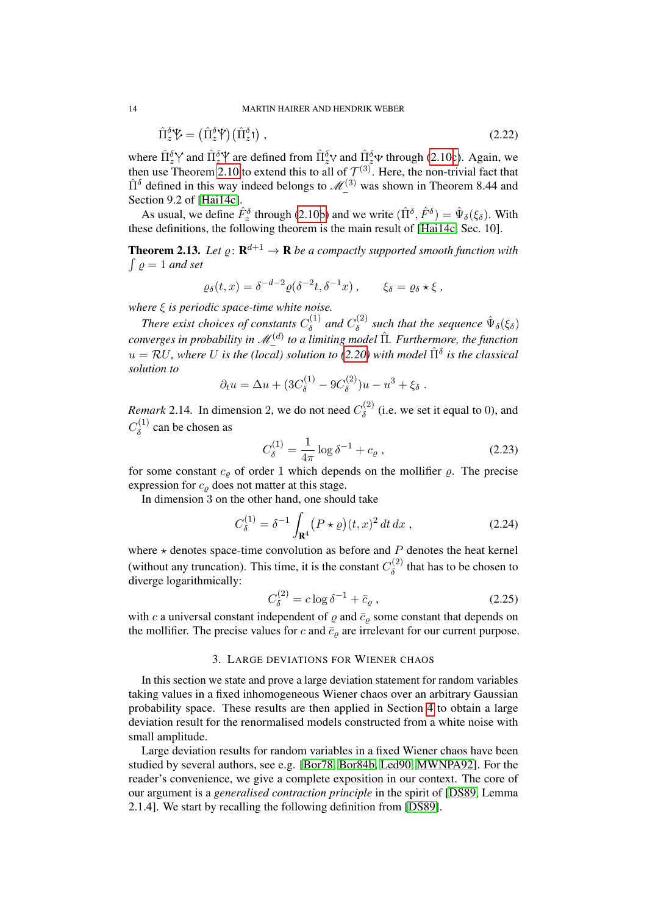14 MARTIN HAIRER AND HENDRIK WEBER

$$
\hat{\Pi}_{z}^{\delta}\mathcal{V} = (\hat{\Pi}_{z}^{\delta}\mathcal{V})(\hat{\Pi}_{z}^{\delta}) , \qquad (2.22)
$$

where  $\hat{\Pi}_{z}^{\delta}$  and  $\hat{\Pi}_{z}^{\delta}$  are defined from  $\hat{\Pi}_{z}^{\delta}$  and  $\hat{\Pi}_{z}^{\delta}$  w through [\(2.10c\)](#page-7-0). Again, we then use Theorem [2.10](#page-10-1) to extend this to all of  $\mathcal{T}^{(3)}$ . Here, the non-trivial fact that  $\hat{\Pi}^{\delta}$  defined in this way indeed belongs to  $\mathcal{M}^{(3)}$  was shown in Theorem 8.44 and Section 9.2 of [\[Hai14c\]](#page-28-6).

As usual, we define  $\hat{F}_{z}^{\delta}$  through [\(2.10b\)](#page-7-0) and we write  $(\hat{\Pi}^{\delta}, \hat{F}^{\delta}) = \hat{\Psi}_{\delta}(\xi_{\delta})$ . With these definitions, the following theorem is the main result of [\[Hai14c,](#page-28-6) Sec. 10].

<span id="page-13-3"></span>**Theorem 2.13.** Let  $\varrho: \mathbf{R}^{d+1} \to \mathbf{R}$  be a compactly supported smooth function with  $\int \varrho = 1$  and set

<span id="page-13-2"></span>
$$
\varrho_{\delta}(t,x) = \delta^{-d-2} \varrho(\delta^{-2}t, \delta^{-1}x) , \qquad \xi_{\delta} = \varrho_{\delta} \star \xi ,
$$

*where* ξ *is periodic space-time white noise.*

*There exist choices of constants*  $C_8^{(1)}$  $\delta^{(1)}$  and  $C^{(2)}_{\delta}$  $\delta^{(2)}$  such that the sequence  $\hat{\Psi}_{\delta}(\xi_{\delta})$ converges in probability in  $M_{-}^{(d)}$  to a limiting model  $\hat{\Pi}$ *. Furthermore, the function*  $u = \mathcal{R}U$ , where U is the (local) solution to [\(2.20\)](#page-11-1) with model  $\hat{\Pi}^{\delta}$  is the classical *solution to*

$$
\partial_t u = \Delta u + (3C_{\delta}^{(1)} - 9C_{\delta}^{(2)})u - u^3 + \xi_{\delta}.
$$

<span id="page-13-5"></span>*Remark* 2.14. In dimension 2, we do not need  $C_{\delta}^{(2)}$  $\delta^{(2)}$  (i.e. we set it equal to 0), and  $C_\delta^{(1)}$  $\delta^{(1)}$  can be chosen as

<span id="page-13-6"></span>
$$
C_{\delta}^{(1)} = \frac{1}{4\pi} \log \delta^{-1} + c_{\varrho} \,, \tag{2.23}
$$

for some constant  $c_{\varrho}$  of order 1 which depends on the mollifier  $\varrho$ . The precise expression for  $c_{\rho}$  does not matter at this stage.

In dimension 3 on the other hand, one should take

$$
C_{\delta}^{(1)} = \delta^{-1} \int_{\mathbf{R}^4} (P \star \varrho)(t, x)^2 dt dx , \qquad (2.24)
$$

where  $\star$  denotes space-time convolution as before and  $P$  denotes the heat kernel (without any truncation). This time, it is the constant  $C_{\delta}^{(2)}$  $\delta^{(2)}$  that has to be chosen to diverge logarithmically:

<span id="page-13-4"></span><span id="page-13-0"></span>
$$
C_{\delta}^{(2)} = c \log \delta^{-1} + \bar{c}_{\varrho} \,, \tag{2.25}
$$

with c a universal constant independent of  $\varrho$  and  $\bar{c}_\varrho$  some constant that depends on the mollifier. The precise values for c and  $\bar{c}_\varrho$  are irrelevant for our current purpose.

## 3. LARGE DEVIATIONS FOR WIENER CHAOS

<span id="page-13-1"></span>In this section we state and prove a large deviation statement for random variables taking values in a fixed inhomogeneous Wiener chaos over an arbitrary Gaussian probability space. These results are then applied in Section [4](#page-20-0) to obtain a large deviation result for the renormalised models constructed from a white noise with small amplitude.

Large deviation results for random variables in a fixed Wiener chaos have been studied by several authors, see e.g. [\[Bor78,](#page-27-5) [Bor84b,](#page-27-6) [Led90,](#page-28-13) [MWNPA92\]](#page-28-14). For the reader's convenience, we give a complete exposition in our context. The core of our argument is a *generalised contraction principle* in the spirit of [\[DS89,](#page-28-15) Lemma 2.1.4]. We start by recalling the following definition from [\[DS89\]](#page-28-15).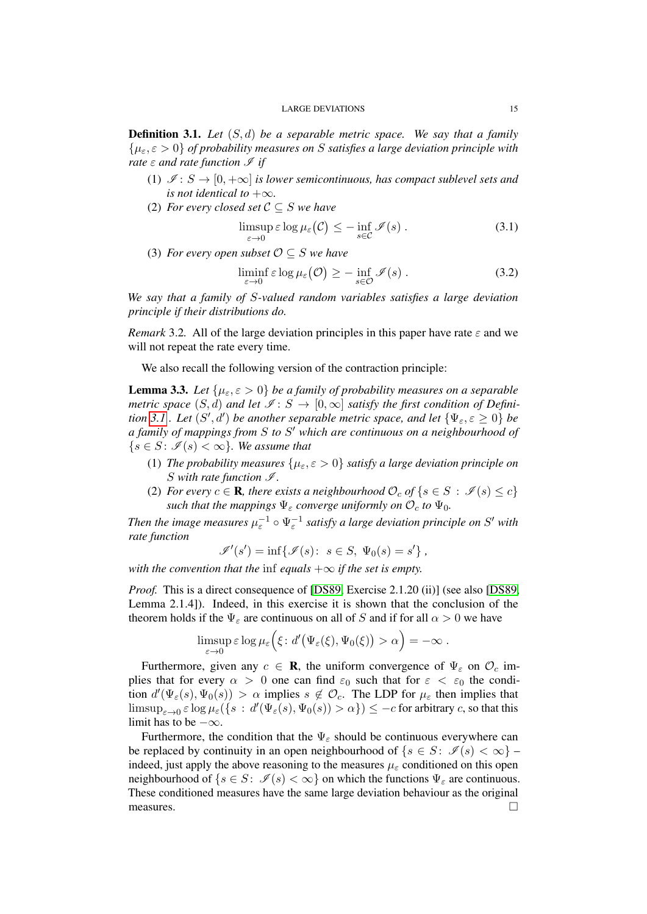<span id="page-14-0"></span>Definition 3.1. *Let* (S, d) *be a separable metric space. We say that a family* {µε, ε > 0} *of probability measures on* S *satisfies a large deviation principle with rate*  $\varepsilon$  *and rate* function  $\mathcal{I}$  *if* 

- (1)  $\mathcal{I}: S \to [0, +\infty]$  *is lower semicontinuous, has compact sublevel sets and is not identical to*  $+\infty$ *.*
- (2) *For every closed set*  $C \subseteq S$  *we have*

<span id="page-14-2"></span>
$$
\limsup_{\varepsilon \to 0} \varepsilon \log \mu_{\varepsilon}(\mathcal{C}) \leq - \inf_{s \in \mathcal{C}} \mathcal{I}(s) . \tag{3.1}
$$

(3) *For every open subset*  $\mathcal{O} \subseteq S$  *we have* 

<span id="page-14-3"></span>
$$
\liminf_{\varepsilon \to 0} \varepsilon \log \mu_{\varepsilon}(\mathcal{O}) \geq - \inf_{s \in \mathcal{O}} \mathcal{I}(s) . \tag{3.2}
$$

*We say that a family of* S*-valued random variables satisfies a large deviation principle if their distributions do.*

*Remark* 3.2. All of the large deviation principles in this paper have rate  $\varepsilon$  and we will not repeat the rate every time.

We also recall the following version of the contraction principle:

<span id="page-14-1"></span>**Lemma 3.3.** *Let*  $\{\mu_{\varepsilon}, \varepsilon > 0\}$  *be a family of probability measures on a separable metric space*  $(S, d)$  *and let*  $\mathscr{I}: S \to [0, \infty]$  *satisfy the first condition of Definition* [3.1](#page-14-0) . Let  $(S', d')$  *be another separable metric space, and let*  $\{\Psi_{\varepsilon}, \varepsilon \geq 0\}$  *be a family of mappings from* S *to* S <sup>0</sup> *which are continuous on a neighbourhood of*  ${s \in S : \mathscr{I}(s) < \infty}$ *. We assume that* 

- (1) *The probability measures*  $\{\mu_{\varepsilon}, \varepsilon > 0\}$  *satisfy a large deviation principle on* S with rate function  $\mathcal{I}$ .
- (2) *For every*  $c \in \mathbf{R}$ *, there exists a neighbourhood*  $\mathcal{O}_c$  *of*  $\{s \in S : \mathcal{I}(s) \leq c\}$ *such that the mappings*  $\Psi_{\varepsilon}$  *converge uniformly on*  $\mathcal{O}_c$  *to*  $\Psi_0$ *.*

Then the image measures  $\mu_{\varepsilon}^{-1} \circ \Psi_{\varepsilon}^{-1}$  satisfy a large deviation principle on S' with *rate function*

$$
\mathscr{I}'(s') = \inf \{ \mathscr{I}(s): s \in S, \ \Psi_0(s) = s' \},
$$

*with the convention that the* inf *equals*  $+\infty$  *if the set is empty.* 

*Proof.* This is a direct consequence of [\[DS89,](#page-28-15) Exercise 2.1.20 (ii)] (see also [DS89, Lemma 2.1.4]). Indeed, in this exercise it is shown that the conclusion of the theorem holds if the  $\Psi_{\varepsilon}$  are continuous on all of S and if for all  $\alpha > 0$  we have

$$
\limsup_{\varepsilon \to 0} \varepsilon \log \mu_{\varepsilon} \Big( \xi \colon d' \big( \Psi_{\varepsilon}(\xi), \Psi_0(\xi) \big) > \alpha \Big) = -\infty.
$$

Furthermore, given any  $c \in \mathbf{R}$ , the uniform convergence of  $\Psi_{\varepsilon}$  on  $\mathcal{O}_{c}$  implies that for every  $\alpha > 0$  one can find  $\varepsilon_0$  such that for  $\varepsilon < \varepsilon_0$  the condition  $d'(\Psi_{\varepsilon}(s), \Psi_0(s)) > \alpha$  implies  $s \notin \mathcal{O}_c$ . The LDP for  $\mu_{\varepsilon}$  then implies that  $\limsup_{\varepsilon\to 0} \varepsilon \log \mu_\varepsilon(\{s\,:\,d'(\Psi_\varepsilon(s),\Psi_0(s))>\alpha\})\leq -c$  for arbitrary  $c,$  so that this limit has to be  $-\infty$ .

Furthermore, the condition that the  $\Psi_{\varepsilon}$  should be continuous everywhere can be replaced by continuity in an open neighbourhood of  $\{s \in S : \mathcal{I}(s) < \infty\}$ indeed, just apply the above reasoning to the measures  $\mu_{\varepsilon}$  conditioned on this open neighbourhood of  $\{s \in S: \mathcal{I}(s) < \infty\}$  on which the functions  $\Psi_{\varepsilon}$  are continuous. These conditioned measures have the same large deviation behaviour as the original measures.  $\Box$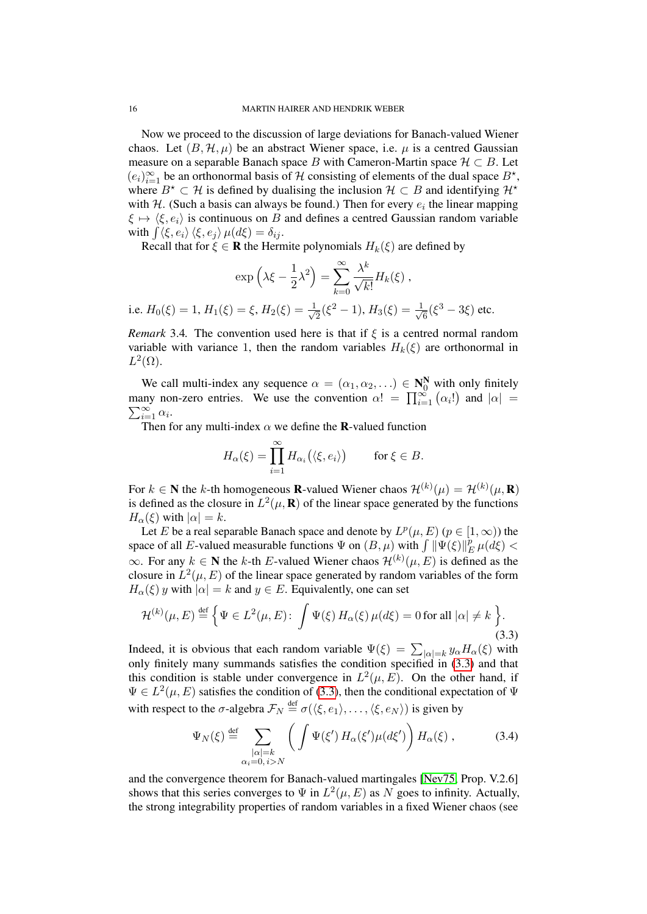Now we proceed to the discussion of large deviations for Banach-valued Wiener chaos. Let  $(B, \mathcal{H}, \mu)$  be an abstract Wiener space, i.e.  $\mu$  is a centred Gaussian measure on a separable Banach space B with Cameron-Martin space  $\mathcal{H} \subset B$ . Let  $(e_i)_{i=1}^{\infty}$  be an orthonormal basis of H consisting of elements of the dual space  $B^*$ , where  $B^* \subset \mathcal{H}$  is defined by dualising the inclusion  $\mathcal{H} \subset B$  and identifying  $\mathcal{H}^*$ with H. (Such a basis can always be found.) Then for every  $e_i$  the linear mapping  $\xi \mapsto \langle \xi, e_i \rangle$  is continuous on B and defines a centred Gaussian random variable with  $\int \langle \xi, e_i \rangle \langle \xi, e_j \rangle \mu(d\xi) = \delta_{ij}$ .

Recall that for  $\xi \in \mathbf{R}$  the Hermite polynomials  $H_k(\xi)$  are defined by

$$
\exp\left(\lambda\xi - \frac{1}{2}\lambda^2\right) = \sum_{k=0}^{\infty} \frac{\lambda^k}{\sqrt{k!}} H_k(\xi),
$$
  
i.e.  $H_0(\xi) = 1$ ,  $H_1(\xi) = \xi$ ,  $H_2(\xi) = \frac{1}{\sqrt{2}}(\xi^2 - 1)$ ,  $H_3(\xi) = \frac{1}{\sqrt{6}}(\xi^3 - 3\xi)$  etc.

*Remark* 3.4. The convention used here is that if  $\xi$  is a centred normal random variable with variance 1, then the random variables  $H_k(\xi)$  are orthonormal in  $L^2(\Omega)$ .

We call multi-index any sequence  $\alpha = (\alpha_1, \alpha_2, ...) \in \mathbb{N}_0^N$  with only finitely many non-zero entries. We use the convention  $\alpha! = \prod_{i=1}^{\infty} (\alpha_i!)$  and  $|\alpha| =$  $\sum_{i=1}^{\infty} \alpha_i$ .

Then for any multi-index  $\alpha$  we define the **R**-valued function

$$
H_{\alpha}(\xi) = \prod_{i=1}^{\infty} H_{\alpha_i}(\langle \xi, e_i \rangle) \quad \text{for } \xi \in B.
$$

For  $k \in \mathbb{N}$  the k-th homogeneous **R**-valued Wiener chaos  $\mathcal{H}^{(k)}(\mu) = \mathcal{H}^{(k)}(\mu, \mathbf{R})$ is defined as the closure in  $L^2(\mu, \mathbf{R})$  of the linear space generated by the functions  $H_{\alpha}(\xi)$  with  $|\alpha|=k$ .

Let E be a real separable Banach space and denote by  $L^p(\mu, E)$   $(p \in [1, \infty))$  the space of all E-valued measurable functions  $\Psi$  on  $(B, \mu)$  with  $\int \|\Psi(\xi)\|_H^{\rho}$  $_{E}^{p}\mu(d\xi) <$  $\infty$ . For any  $k \in \mathbb{N}$  the k-th E-valued Wiener chaos  $\mathcal{H}^{(k)}(\mu, E)$  is defined as the closure in  $L^2(\mu, E)$  of the linear space generated by random variables of the form  $H_{\alpha}(\xi)$  y with  $|\alpha| = k$  and  $y \in E$ . Equivalently, one can set

$$
\mathcal{H}^{(k)}(\mu, E) \stackrel{\text{def}}{=} \left\{ \Psi \in L^2(\mu, E) : \int \Psi(\xi) \, H_\alpha(\xi) \, \mu(d\xi) = 0 \text{ for all } |\alpha| \neq k \right\}. \tag{3.3}
$$

Indeed, it is obvious that each random variable  $\Psi(\xi) = \sum_{|\alpha|=k} y_{\alpha} H_{\alpha}(\xi)$  with only finitely many summands satisfies the condition specified in  $(3.3)$  and that this condition is stable under convergence in  $L^2(\mu, E)$ . On the other hand, if  $\Psi \in L^2(\mu, E)$  satisfies the condition of [\(3.3\)](#page-15-0), then the conditional expectation of  $\Psi$ with respect to the  $\sigma$ -algebra  $\mathcal{F}_N \stackrel{\text{def}}{=} \sigma(\langle \xi, e_1 \rangle, \dots, \langle \xi, e_N \rangle)$  is given by

<span id="page-15-0"></span>
$$
\Psi_N(\xi) \stackrel{\text{def}}{=} \sum_{\substack{|\alpha|=k\\ \alpha_i=0, i>N}} \left( \int \Psi(\xi') \, H_\alpha(\xi') \mu(d\xi') \right) H_\alpha(\xi) \,, \tag{3.4}
$$

and the convergence theorem for Banach-valued martingales [\[Nev75,](#page-28-16) Prop. V.2.6] shows that this series converges to  $\Psi$  in  $L^2(\mu, E)$  as N goes to infinity. Actually, the strong integrability properties of random variables in a fixed Wiener chaos (see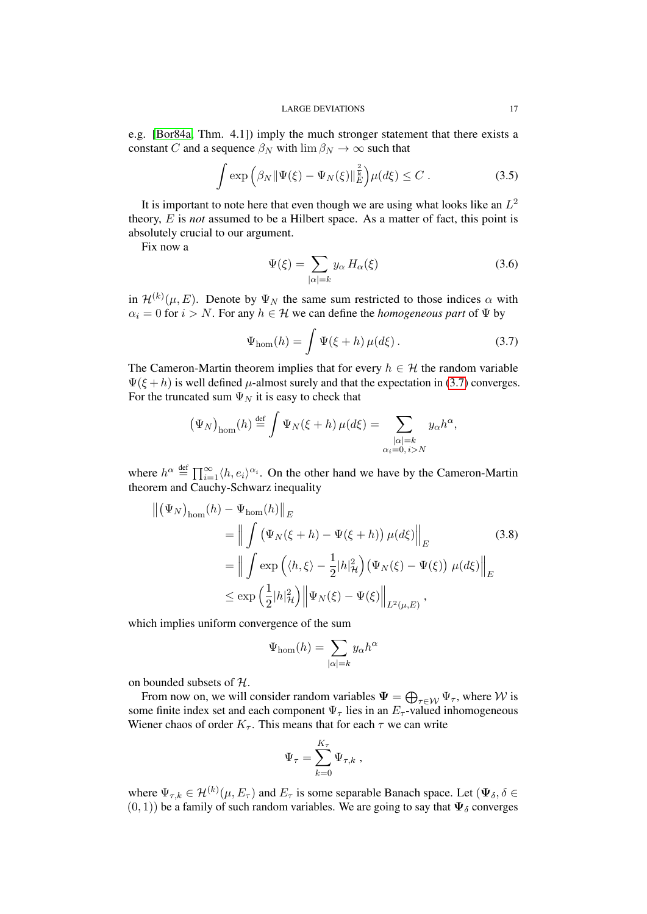e.g. [\[Bor84a,](#page-27-7) Thm. 4.1]) imply the much stronger statement that there exists a constant C and a sequence  $\beta_N$  with  $\lim \beta_N \to \infty$  such that

$$
\int \exp\left(\beta_N \|\Psi(\xi) - \Psi_N(\xi)\|_E^{\frac{2}{k}}\right) \mu(d\xi) \le C \,. \tag{3.5}
$$

It is important to note here that even though we are using what looks like an  $L^2$ theory, E is *not* assumed to be a Hilbert space. As a matter of fact, this point is absolutely crucial to our argument.

Fix now a

<span id="page-16-0"></span>
$$
\Psi(\xi) = \sum_{|\alpha|=k} y_{\alpha} H_{\alpha}(\xi)
$$
\n(3.6)

in  $\mathcal{H}^{(k)}(\mu, E)$ . Denote by  $\Psi_N$  the same sum restricted to those indices  $\alpha$  with  $\alpha_i = 0$  for  $i > N$ . For any  $h \in \mathcal{H}$  we can define the *homogeneous part* of  $\Psi$  by

$$
\Psi_{\text{hom}}(h) = \int \Psi(\xi + h) \,\mu(d\xi) \,. \tag{3.7}
$$

The Cameron-Martin theorem implies that for every  $h \in \mathcal{H}$  the random variable  $\Psi(\xi + h)$  is well defined  $\mu$ -almost surely and that the expectation in [\(3.7\)](#page-16-0) converges. For the truncated sum  $\Psi_N$  it is easy to check that

$$
(\Psi_N)_{\text{hom}}(h) \stackrel{\text{def}}{=} \int \Psi_N(\xi + h) \,\mu(d\xi) = \sum_{\substack{|\alpha|=k\\ \alpha_i = 0, i > N}} y_\alpha h^\alpha,
$$

where  $h^{\alpha} \stackrel{\text{def}}{=} \prod_{i=1}^{\infty} \langle h, e_i \rangle^{\alpha_i}$ . On the other hand we have by the Cameron-Martin theorem and Cauchy-Schwarz inequality

$$
\begin{split} \left\| \left( \Psi_N \right)_{\text{hom}}(h) - \Psi_{\text{hom}}(h) \right\|_E \\ &= \left\| \int \left( \Psi_N(\xi + h) - \Psi(\xi + h) \right) \mu(d\xi) \right\|_E \\ &= \left\| \int \exp \left( \langle h, \xi \rangle - \frac{1}{2} |h|_{\mathcal{H}}^2 \right) \left( \Psi_N(\xi) - \Psi(\xi) \right) \mu(d\xi) \right\|_E \\ &\leq \exp \left( \frac{1}{2} |h|_{\mathcal{H}}^2 \right) \left\| \Psi_N(\xi) - \Psi(\xi) \right\|_{L^2(\mu, E)}, \end{split} \tag{3.8}
$$

which implies uniform convergence of the sum

<span id="page-16-1"></span>
$$
\Psi_{\text{hom}}(h) = \sum_{|\alpha|=k} y_{\alpha} h^{\alpha}
$$

on bounded subsets of H.

From now on, we will consider random variables  $\Psi = \bigoplus_{\tau \in \mathcal{W}} \Psi_\tau$ , where  $\mathcal W$  is some finite index set and each component  $\Psi_{\tau}$  lies in an  $E_{\tau}$ -valued inhomogeneous Wiener chaos of order  $K_{\tau}$ . This means that for each  $\tau$  we can write

$$
\Psi_{\tau} = \sum_{k=0}^{K_{\tau}} \Psi_{\tau,k} ,
$$

where  $\Psi_{\tau,k} \in \mathcal{H}^{(k)}(\mu, E_\tau)$  and  $E_\tau$  is some separable Banach space. Let  $(\Psi_\delta, \delta \in$  $(0, 1)$ ) be a family of such random variables. We are going to say that  $\Psi_{\delta}$  converges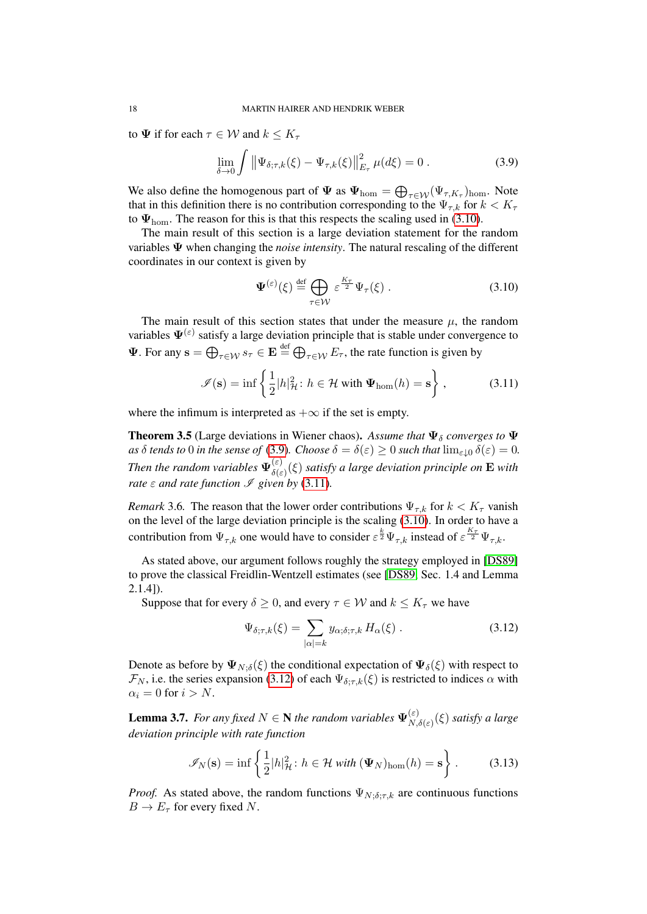to  $\Psi$  if for each  $\tau \in \mathcal{W}$  and  $k \leq K_{\tau}$ 

$$
\lim_{\delta \to 0} \int \left\| \Psi_{\delta;\tau,k}(\xi) - \Psi_{\tau,k}(\xi) \right\|_{E_{\tau}}^2 \mu(d\xi) = 0.
$$
 (3.9)

We also define the homogenous part of  $\Psi$  as  $\Psi_{\text{hom}} = \bigoplus_{\tau \in \mathcal{W}} (\Psi_{\tau,K_{\tau}})_{\text{hom}}$ . Note that in this definition there is no contribution corresponding to the  $\Psi_{\tau,k}$  for  $k < K_{\tau}$ to  $\Psi_{\text{hom}}$ . The reason for this is that this respects the scaling used in [\(3.10\)](#page-17-0).

The main result of this section is a large deviation statement for the random variables Ψ when changing the *noise intensity*. The natural rescaling of the different coordinates in our context is given by

<span id="page-17-2"></span><span id="page-17-1"></span><span id="page-17-0"></span>
$$
\Psi^{(\varepsilon)}(\xi) \stackrel{\text{def}}{=} \bigoplus_{\tau \in \mathcal{W}} \varepsilon^{\frac{K_{\tau}}{2}} \Psi_{\tau}(\xi) . \tag{3.10}
$$

The main result of this section states that under the measure  $\mu$ , the random variables  $\Psi^{(\varepsilon)}$  satisfy a large deviation principle that is stable under convergence to  $\Psi$ . For any  $\mathbf{s} = \bigoplus_{\tau \in \mathcal{W}} s_{\tau} \in \mathbf{E} \stackrel{\text{def}}{=} \bigoplus_{\tau \in \mathcal{W}} E_{\tau}$ , the rate function is given by

$$
\mathcal{I}(\mathbf{s}) = \inf \left\{ \frac{1}{2} |h|_{\mathcal{H}}^2 \colon h \in \mathcal{H} \text{ with } \Psi_{\text{hom}}(h) = \mathbf{s} \right\},\tag{3.11}
$$

where the infimum is interpreted as  $+\infty$  if the set is empty.

<span id="page-17-6"></span>**Theorem 3.5** (Large deviations in Wiener chaos). Assume that  $\Psi_{\delta}$  converges to  $\Psi$ *as*  $\delta$  *tends to* 0 *in the sense of* [\(3.9\)](#page-17-1)*. Choose*  $\delta = \delta(\varepsilon) \geq 0$  *such that*  $\lim_{\varepsilon \downarrow 0} \delta(\varepsilon) = 0$ *. Then the random variables*  $\Psi_{\delta(s)}^{(\varepsilon)}$  $\delta(\varepsilon)$  *satisfy a large deviation principle on* **E** *with rate*  $\varepsilon$  *and rate* function  $\mathcal{I}$  *given by* [\(3.11\)](#page-17-2)*.* 

*Remark* 3.6. The reason that the lower order contributions  $\Psi_{\tau,k}$  for  $k < K_{\tau}$  vanish on the level of the large deviation principle is the scaling [\(3.10\)](#page-17-0). In order to have a contribution from  $\Psi_{\tau,k}$  one would have to consider  $\varepsilon^{\frac{k}{2}}\Psi_{\tau,k}$  instead of  $\varepsilon^{\frac{K_{\tau}}{2}}\Psi_{\tau,k}$ .

As stated above, our argument follows roughly the strategy employed in [\[DS89\]](#page-28-15) to prove the classical Freidlin-Wentzell estimates (see [\[DS89,](#page-28-15) Sec. 1.4 and Lemma 2.1.4]).

Suppose that for every  $\delta \geq 0$ , and every  $\tau \in \mathcal{W}$  and  $k \leq K_{\tau}$  we have

<span id="page-17-4"></span><span id="page-17-3"></span>
$$
\Psi_{\delta;\tau,k}(\xi) = \sum_{|\alpha|=k} y_{\alpha;\delta;\tau,k} H_{\alpha}(\xi) . \tag{3.12}
$$

Denote as before by  $\Psi_{N;\delta}(\xi)$  the conditional expectation of  $\Psi_{\delta}(\xi)$  with respect to  $\mathcal{F}_N$ , i.e. the series expansion [\(3.12\)](#page-17-3) of each  $\Psi_{\delta:\tau,k}(\xi)$  is restricted to indices  $\alpha$  with  $\alpha_i = 0$  for  $i > N$ .

<span id="page-17-5"></span>**Lemma 3.7.** *For any fixed*  $N \in \mathbb{N}$  *the random variables*  $\Psi_N^{(\varepsilon)}$  $\sum_{N,\delta(\varepsilon)}^{(\varepsilon)}(\xi)$  *satisfy a large deviation principle with rate function*

$$
\mathscr{I}_N(\mathbf{s}) = \inf \left\{ \frac{1}{2} |h|_{\mathcal{H}}^2 \colon h \in \mathcal{H} \text{ with } (\mathbf{\Psi}_N)_{\text{hom}}(h) = \mathbf{s} \right\}.
$$
 (3.13)

*Proof.* As stated above, the random functions  $\Psi_{N;\delta;\tau,k}$  are continuous functions  $B \to E_\tau$  for every fixed N.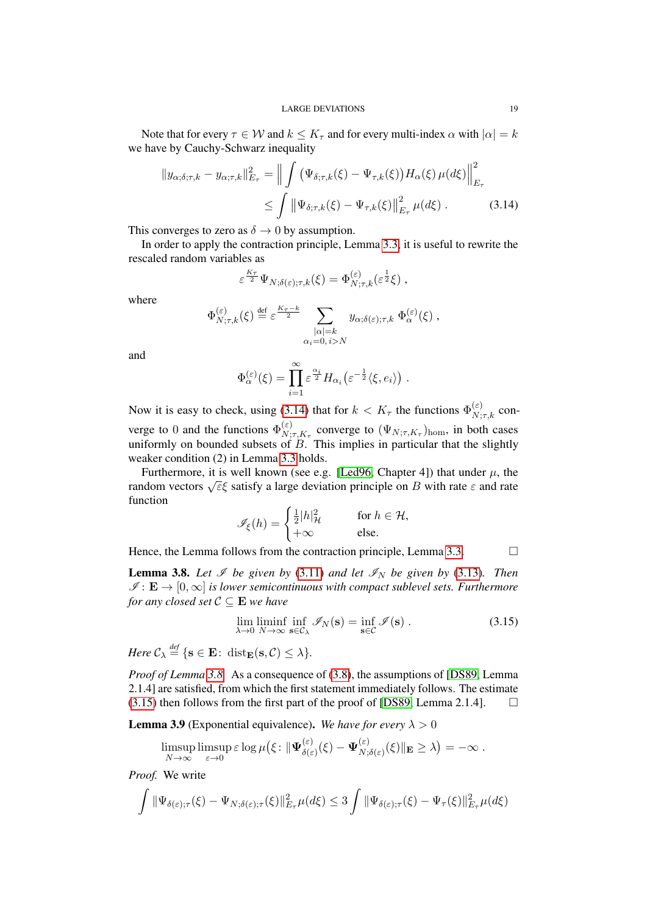Note that for every  $\tau \in W$  and  $k \leq K_{\tau}$  and for every multi-index  $\alpha$  with  $|\alpha| = k$ we have by Cauchy-Schwarz inequality

$$
\|y_{\alpha;\delta;\tau,k} - y_{\alpha;\tau,k}\|_{E_{\tau}}^2 = \left\| \int \left( \Psi_{\delta;\tau,k}(\xi) - \Psi_{\tau,k}(\xi) \right) H_{\alpha}(\xi) \,\mu(d\xi) \right\|_{E_{\tau}}^2
$$
  
 
$$
\leq \int \left\| \Psi_{\delta;\tau,k}(\xi) - \Psi_{\tau,k}(\xi) \right\|_{E_{\tau}}^2 \mu(d\xi) . \tag{3.14}
$$

This converges to zero as  $\delta \to 0$  by assumption.

In order to apply the contraction principle, Lemma [3.3,](#page-14-1) it is useful to rewrite the rescaled random variables as

<span id="page-18-0"></span>
$$
\varepsilon^{\frac{K_{\tau}}{2}} \Psi_{N;\delta(\varepsilon); \tau, k}(\xi) = \Phi_{N;\tau,k}^{(\varepsilon)}(\varepsilon^{\frac{1}{2}} \xi) ,
$$

where

$$
\Phi_{N;\tau,k}^{(\varepsilon)}(\xi) \stackrel{\text{def}}{=} \varepsilon^{\frac{K\tau - k}{2}} \sum_{\substack{|\alpha|=k\\ \alpha_i=0, i>N}} y_{\alpha;\delta(\varepsilon);\tau,k} \Phi_{\alpha}^{(\varepsilon)}(\xi) ,
$$

and

$$
\Phi_{\alpha}^{(\varepsilon)}(\xi) = \prod_{i=1}^{\infty} \varepsilon^{\frac{\alpha_i}{2}} H_{\alpha_i}(\varepsilon^{-\frac{1}{2}} \langle \xi, e_i \rangle) .
$$

Now it is easy to check, using [\(3.14\)](#page-18-0) that for  $k < K_{\tau}$  the functions  $\Phi_{N;\tau,k}^{(\varepsilon)}$  converge to 0 and the functions  $\Phi_N^{(\varepsilon)}$  $N;\tau,K_{\tau}$  converge to  $(\Psi_{N;\tau,K_{\tau}})_{\text{hom}}$ , in both cases uniformly on bounded subsets of  $B$ . This implies in particular that the slightly weaker condition (2) in Lemma [3.3](#page-14-1) holds.

Furthermore, it is well known (see e.g. [\[Led96,](#page-28-17) Chapter 4]) that under  $\mu$ , the Furtual process  $\sqrt{\epsilon}$ ξ satisfy a large deviation principle on B with rate ε and rate random vectors  $\sqrt{\epsilon}$ ξ satisfy a large deviation principle on B with rate ε and rate function

$$
\mathscr{I}_{\xi}(h) = \begin{cases} \frac{1}{2}|h|_{\mathcal{H}}^2 & \text{for } h \in \mathcal{H}, \\ +\infty & \text{else.} \end{cases}
$$

Hence, the Lemma follows from the contraction principle, Lemma [3.3.](#page-14-1)  $\Box$ 

<span id="page-18-1"></span>**Lemma 3.8.** Let  $\mathcal{I}$  be given by [\(3.11\)](#page-17-2) and let  $\mathcal{I}_N$  be given by [\(3.13\)](#page-17-4). Then  $\mathscr{I}: \mathbf{E} \to [0,\infty]$  *is lower semicontinuous with compact sublevel sets. Furthermore for any closed set*  $C \subseteq E$  *we have* 

<span id="page-18-2"></span>
$$
\lim_{\lambda \to 0} \liminf_{N \to \infty} \inf_{\mathbf{s} \in \mathcal{C}_{\lambda}} \mathcal{I}_N(\mathbf{s}) = \inf_{\mathbf{s} \in \mathcal{C}} \mathcal{I}(\mathbf{s}) .
$$
\n(3.15)

 $Here \mathcal{C}_{\lambda} \stackrel{\text{def}}{=} \{ \mathbf{s} \in \mathbf{E} \colon \operatorname{dist}_{\mathbf{E}}(\mathbf{s}, \mathcal{C}) \leq \lambda \}.$ 

*Proof of Lemma [3.8.](#page-18-1)* As a consequence of [\(3.8\)](#page-16-1), the assumptions of [\[DS89,](#page-28-15) Lemma 2.1.4] are satisfied, from which the first statement immediately follows. The estimate  $(3.15)$  then follows from the first part of the proof of [\[DS89,](#page-28-15) Lemma 2.1.4].  $\Box$ 

<span id="page-18-3"></span>**Lemma 3.9** (Exponential equivalence). We have for every  $\lambda > 0$ 

$$
\limsup_{N\to\infty}\limsup_{\varepsilon\to 0}\varepsilon\log\mu\big(\xi\colon \|\Psi_{\delta(\varepsilon)}^{(\varepsilon)}(\xi)-\Psi_{N;\delta(\varepsilon)}^{(\varepsilon)}(\xi)\|_{\mathbf{E}}\geq \lambda\big)=-\infty.
$$

*Proof.* We write

$$
\int \|\Psi_{\delta(\varepsilon);\tau}(\xi)-\Psi_{N;\delta(\varepsilon);\tau}(\xi)\|_{E_{\tau}}^2\mu(d\xi)\leq 3\int \|\Psi_{\delta(\varepsilon);\tau}(\xi)-\Psi_{\tau}(\xi)\|_{E_{\tau}}^2\mu(d\xi)
$$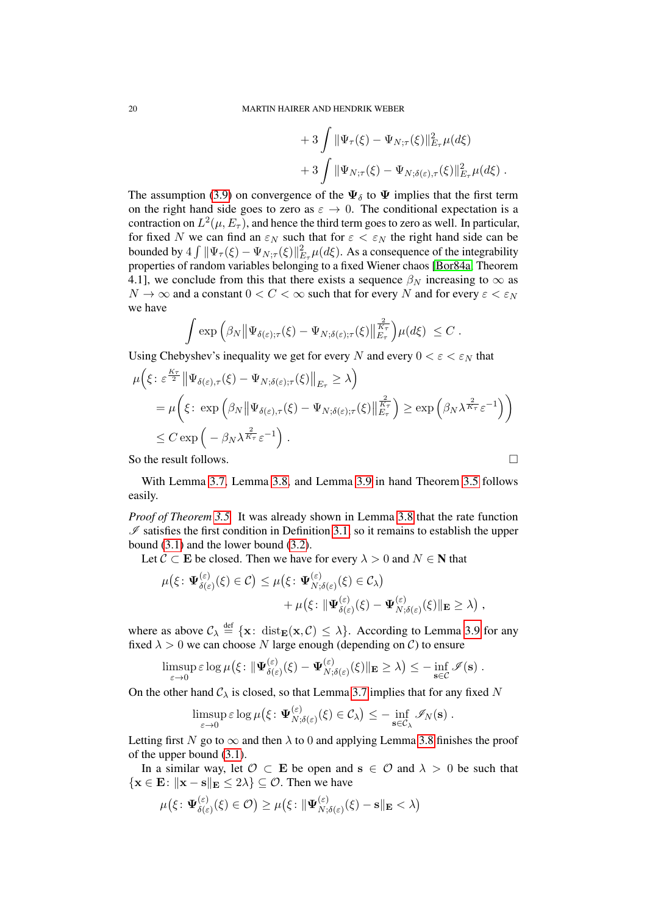+3
$$
\int \|\Psi_{\tau}(\xi)-\Psi_{N;\tau}(\xi)\|_{E_{\tau}}^2\mu(d\xi)
$$
  
+3
$$
\int \|\Psi_{N;\tau}(\xi)-\Psi_{N;\delta(\varepsilon),\tau}(\xi)\|_{E_{\tau}}^2\mu(d\xi).
$$

The assumption [\(3.9\)](#page-17-1) on convergence of the  $\Psi_{\delta}$  to  $\Psi$  implies that the first term on the right hand side goes to zero as  $\varepsilon \to 0$ . The conditional expectation is a contraction on  $L^2(\mu,E_\tau),$  and hence the third term goes to zero as well. In particular, for fixed N we can find an  $\varepsilon_N$  such that for  $\varepsilon < \varepsilon_N$  the right hand side can be bounded by  $4 \int \|\Psi_\tau(\xi) - \Psi_{N;\tau}(\xi)\|_{E_\tau}^2 \mu(d\xi)$ . As a consequence of the integrability properties of random variables belonging to a fixed Wiener chaos [\[Bor84a,](#page-27-7) Theorem 4.1], we conclude from this that there exists a sequence  $\beta_N$  increasing to  $\infty$  as  $N \to \infty$  and a constant  $0 < C < \infty$  such that for every N and for every  $\varepsilon < \varepsilon_N$ we have

$$
\int \exp \left( \beta_N \|\Psi_{\delta(\varepsilon),\tau}(\xi)-\Psi_{N,\delta(\varepsilon);\tau}(\xi)\|_{E_\tau}^{\frac{2}{K_\tau}} \right) \mu(d\xi) \leq C.
$$

Using Chebyshev's inequality we get for every N and every  $0 < \varepsilon < \varepsilon_N$  that

$$
\mu\left(\xi \colon \varepsilon^{\frac{K\tau}{2}} \left\| \Psi_{\delta(\varepsilon),\tau}(\xi) - \Psi_{N;\delta(\varepsilon); \tau}(\xi) \right\|_{E_{\tau}} \geq \lambda\right)
$$
\n
$$
= \mu\left(\xi \colon \exp\left(\beta_N \left\| \Psi_{\delta(\varepsilon),\tau}(\xi) - \Psi_{N;\delta(\varepsilon); \tau}(\xi) \right\|_{E_{\tau}}^{\frac{2}{K_{\tau}}}\right) \geq \exp\left(\beta_N \lambda^{\frac{2}{K_{\tau}}} \varepsilon^{-1}\right)\right)
$$
\n
$$
\leq C \exp\left(-\beta_N \lambda^{\frac{2}{K_{\tau}}} \varepsilon^{-1}\right).
$$

So the result follows.

With Lemma [3.7,](#page-17-5) Lemma [3.8,](#page-18-1) and Lemma [3.9](#page-18-3) in hand Theorem [3.5](#page-17-6) follows easily.

*Proof of Theorem [3.5.](#page-17-6)* It was already shown in Lemma [3.8](#page-18-1) that the rate function  $\mathscr I$  satisfies the first condition in Definition [3.1,](#page-14-0) so it remains to establish the upper bound [\(3.1\)](#page-14-2) and the lower bound [\(3.2\)](#page-14-3).

Let  $C \subset E$  be closed. Then we have for every  $\lambda > 0$  and  $N \in N$  that

$$
\mu(\xi: \Psi_{\delta(\varepsilon)}^{(\varepsilon)}(\xi) \in \mathcal{C}) \leq \mu(\xi: \Psi_{N,\delta(\varepsilon)}^{(\varepsilon)}(\xi) \in \mathcal{C}_{\lambda}) \n+ \mu(\xi: \|\Psi_{\delta(\varepsilon)}^{(\varepsilon)}(\xi) - \Psi_{N,\delta(\varepsilon)}^{(\varepsilon)}(\xi)\|_{\mathbf{E}} \geq \lambda),
$$

where as above  $\mathcal{C}_\lambda \stackrel{\text{def}}{=} {\mathbf{x}}: \text{ dist}_{\mathbf{E}}({\mathbf{x}}, \mathcal{C}) \leq \lambda$ . According to Lemma [3.9](#page-18-3) for any fixed  $\lambda > 0$  we can choose N large enough (depending on C) to ensure

$$
\limsup_{\varepsilon\to 0} \varepsilon \log \mu\big(\xi\colon \Vert \mathbf \Psi_{\delta(\varepsilon)}^{(\varepsilon)}(\xi) - \mathbf \Psi_{N;\delta(\varepsilon)}^{(\varepsilon)}(\xi) \Vert_{\mathbf E} \geq \lambda \big) \leq - \inf_{\mathbf s\in\mathcal{C}} \mathscr I(\mathbf s) .
$$

On the other hand  $C_{\lambda}$  is closed, so that Lemma [3.7](#page-17-5) implies that for any fixed N

$$
\limsup_{\varepsilon\to 0} \varepsilon \log \mu\big(\xi\colon \Psi_{N;\delta(\varepsilon)}^{(\varepsilon)}(\xi) \in \mathcal{C}_{\lambda}\big) \leq -\inf_{\mathbf{s}\in\mathcal{C}_{\lambda}} \mathscr{I}_{N}(\mathbf{s})\;.
$$

Letting first N go to  $\infty$  and then  $\lambda$  to 0 and applying Lemma [3.8](#page-18-1) finishes the proof of the upper bound [\(3.1\)](#page-14-2).

In a similar way, let  $\mathcal{O} \subset \mathbf{E}$  be open and  $s \in \mathcal{O}$  and  $\lambda > 0$  be such that  $\{x \in E: ||x - s||_E \le 2\lambda\} \subseteq \mathcal{O}$ . Then we have

$$
\mu(\xi: \boldsymbol{\Psi}^{(\varepsilon)}_{\delta(\varepsilon)}(\xi) \in \mathcal{O}) \geq \mu(\xi: \|\boldsymbol{\Psi}^{(\varepsilon)}_{N; \delta(\varepsilon)}(\xi) - \mathbf{s}\|_{\mathbf{E}} < \lambda)
$$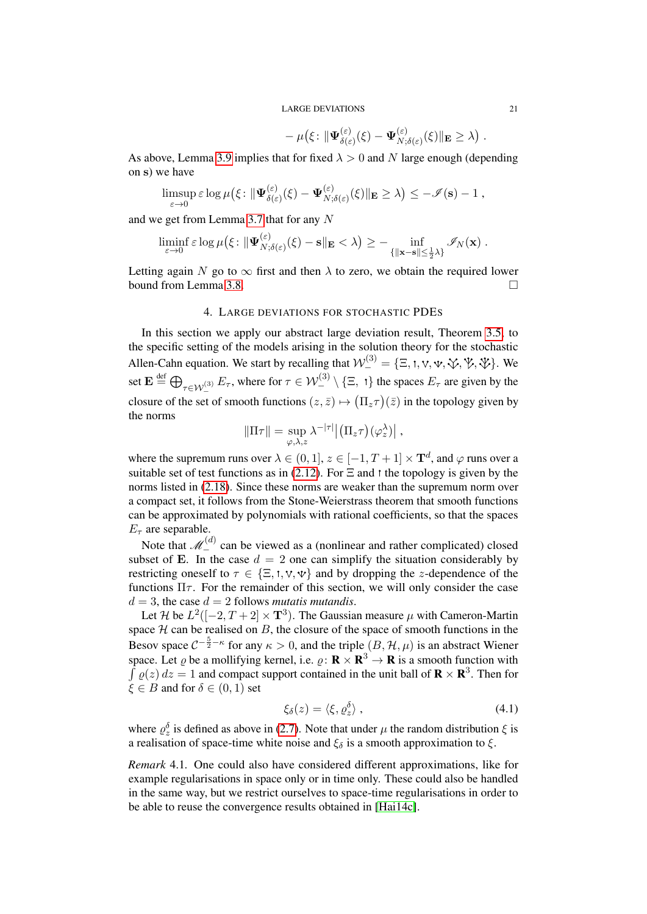$$
-\mu(\xi\colon \|\Psi_{\delta(\varepsilon)}^{(\varepsilon)}(\xi)-\Psi_{N;\delta(\varepsilon)}^{(\varepsilon)}(\xi)\|_{\mathbf{E}}\geq \lambda).
$$

As above, Lemma [3.9](#page-18-3) implies that for fixed  $\lambda > 0$  and N large enough (depending on s) we have

$$
\limsup_{\varepsilon \to 0} \varepsilon \log \mu(\xi: \|\Psi_{\delta(\varepsilon)}^{(\varepsilon)}(\xi) - \Psi_{N;\delta(\varepsilon)}^{(\varepsilon)}(\xi)\|_{\mathbf{E}} \geq \lambda) \leq -\mathscr{I}(\mathbf{s}) - 1,
$$

and we get from Lemma [3.7](#page-17-5) that for any N

$$
\liminf_{\varepsilon\to 0} \varepsilon \log \mu\big(\xi\colon \|\Psi_{N;\delta(\varepsilon)}^{(\varepsilon)}(\xi)-\mathbf{s}\|_{\mathbf{E}} <\lambda\big) \geq -\inf_{\{\|\mathbf{x}-\mathbf{s}\|\leq \frac{1}{2}\lambda\}} \mathscr{I}_N(\mathbf{x})\;.
$$

Letting again N go to  $\infty$  first and then  $\lambda$  to zero, we obtain the required lower bound from Lemma [3.8.](#page-18-1)

## 4. LARGE DEVIATIONS FOR STOCHASTIC PDES

<span id="page-20-0"></span>In this section we apply our abstract large deviation result, Theorem [3.5,](#page-17-6) to the specific setting of the models arising in the solution theory for the stochastic Allen-Cahn equation. We start by recalling that  $\mathcal{W}^{(3)}_-=\{\Xi, t, v, \Psi, \Psi, \Psi, \Psi\}$ . We set  $\mathbf{E} \stackrel{\text{def}}{=} \bigoplus_{\tau \in \mathcal{W}^{(3)}_-} E_{\tau}$ , where for  $\tau \in \mathcal{W}^{(3)}_- \setminus \{\Xi, \tau\}$  the spaces  $E_{\tau}$  are given by the closure of the set of smooth functions  $(z, \bar{z}) \mapsto (\Pi_z \tau)(\bar{z})$  in the topology given by the norms

$$
\|\Pi\tau\| = \sup_{\varphi,\lambda,z} \lambda^{-|\tau|} \big| \big( \Pi_z \tau \big) (\varphi_z^{\lambda}) \big| ,
$$

where the supremum runs over  $\lambda \in (0,1], z \in [-1, T+1] \times \mathbf{T}^d$ , and  $\varphi$  runs over a suitable set of test functions as in [\(2.12\)](#page-7-4). For  $\Xi$  and t the topology is given by the norms listed in [\(2.18\)](#page-10-0). Since these norms are weaker than the supremum norm over a compact set, it follows from the Stone-Weierstrass theorem that smooth functions can be approximated by polynomials with rational coefficients, so that the spaces  $E_{\tau}$  are separable.

Note that  $\mathcal{M}_{-}^{(d)}$  can be viewed as a (nonlinear and rather complicated) closed subset of E. In the case  $d = 2$  one can simplify the situation considerably by restricting oneself to  $\tau \in \{\Xi, t, v, \Psi\}$  and by dropping the z-dependence of the functions  $\Pi \tau$ . For the remainder of this section, we will only consider the case  $d = 3$ , the case  $d = 2$  follows *mutatis mutandis*.

Let H be  $L^2([-2,T+2] \times T^3)$ . The Gaussian measure  $\mu$  with Cameron-Martin space  $H$  can be realised on  $B$ , the closure of the space of smooth functions in the Besov space  $C^{-\frac{5}{2}-\kappa}$  for any  $\kappa > 0$ , and the triple  $(B, \mathcal{H}, \mu)$  is an abstract Wiener space. Let  $\varrho$  be a mollifying kernel, i.e.  $\varrho \colon \mathbf{R} \times \mathbf{R}^3 \to \mathbf{R}$  is a smooth function with  $\int \varrho(z) dz = 1$  and compact support contained in the unit ball of  $\mathbf{R} \times \mathbf{R}^3$ . Then for  $\xi \in B$  and for  $\delta \in (0,1)$  set

$$
\xi_{\delta}(z) = \langle \xi, \varrho_z^{\delta} \rangle \tag{4.1}
$$

where  $\rho_z^{\delta}$  is defined as above in [\(2.7\)](#page-6-2). Note that under  $\mu$  the random distribution  $\xi$  is a realisation of space-time white noise and  $\xi_{\delta}$  is a smooth approximation to  $\xi$ .

*Remark* 4.1*.* One could also have considered different approximations, like for example regularisations in space only or in time only. These could also be handled in the same way, but we restrict ourselves to space-time regularisations in order to be able to reuse the convergence results obtained in [\[Hai14c\]](#page-28-6).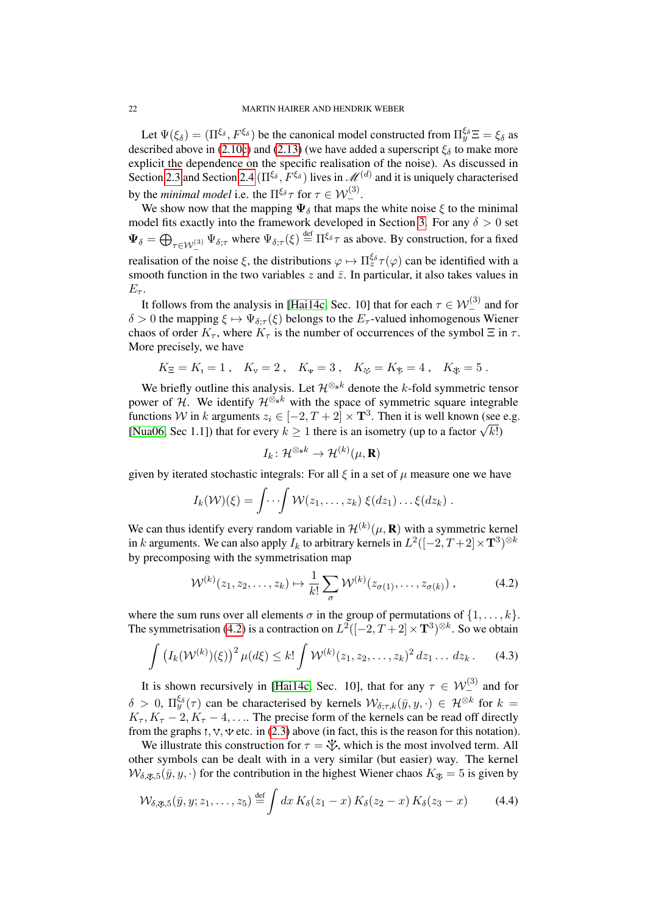Let  $\Psi(\xi_\delta) = (\Pi^{\xi_\delta}, F^{\xi_\delta})$  be the canonical model constructed from  $\Pi^{\xi_\delta}_y \Xi = \xi_\delta$  as described above in [\(2.10c\)](#page-7-0) and [\(2.13\)](#page-8-1) (we have added a superscript  $\xi_{\delta}$  to make more explicit the dependence on the specific realisation of the noise). As discussed in Section [2.3](#page-6-3) and Section [2.4](#page-9-2) ( $\Pi^{\xi_{\delta}}, F^{\xi_{\delta}}$ ) lives in  $\mathscr{M}^{(d)}$  and it is uniquely characterised by the *minimal model* i.e. the  $\Pi^{\xi_{\delta}} \tau$  for  $\tau \in \mathcal{W}_-^{(3)}$ .

We show now that the mapping  $\Psi_{\delta}$  that maps the white noise  $\xi$  to the minimal model fits exactly into the framework developed in Section [3.](#page-13-1) For any  $\delta > 0$  set  $\Psi_{\delta} = \bigoplus_{\tau \in \mathcal{W}_{-}^{(3)}} \Psi_{\delta; \tau}$  where  $\Psi_{\delta; \tau}(\xi) \stackrel{\text{def}}{=} \Pi^{\xi_{\delta}} \tau$  as above. By construction, for a fixed realisation of the noise  $\xi$ , the distributions  $\varphi \mapsto \Pi_z^{\xi_\delta} \tau(\varphi)$  can be identified with a smooth function in the two variables  $z$  and  $\bar{z}$ . In particular, it also takes values in  $E_{\tau}$ .

It follows from the analysis in [\[Hai14c,](#page-28-6) Sec. 10] that for each  $\tau \in \mathcal{W}_-^{(3)}$  and for  $\delta > 0$  the mapping  $\xi \mapsto \Psi_{\delta : \tau}(\xi)$  belongs to the  $E_{\tau}$ -valued inhomogenous Wiener chaos of order  $K_{\tau}$ , where  $K_{\tau}$  is the number of occurrences of the symbol  $\Xi$  in  $\tau$ . More precisely, we have

$$
K_{\Xi} = K_1 = 1
$$
,  $K_{\nu} = 2$ ,  $K_{\nu} = 3$ ,  $K_{\nu} = K_{\nu} = 4$ ,  $K_{\nu} = 5$ .

We briefly outline this analysis. Let  $\mathcal{H}^{\otimes_{s}k}$  denote the k-fold symmetric tensor power of  $H$ . We identify  $\mathcal{H}^{\check{\otimes}_s k}$  with the space of symmetric square integrable functions W in k arguments  $z_i \in [-2, T+2] \times \mathbf{T}^3$ . Then it is well known (see e.g. Functions *VV* in *k* arguments  $z_i \in [-2, 1 + 2] \times \mathbf{I}^+$ . Then it is well known (see [\[Nua06,](#page-28-18) Sec 1.1]) that for every  $k \ge 1$  there is an isometry (up to a factor  $\sqrt{k!}$ )

<span id="page-21-2"></span><span id="page-21-0"></span>
$$
I_k\colon \mathcal{H}^{\otimes_{\mathbf{s}} k} \to \mathcal{H}^{(k)}(\mu,\mathbf{R})
$$

given by iterated stochastic integrals: For all  $\xi$  in a set of  $\mu$  measure one we have

$$
I_k(\mathcal{W})(\xi) = \int \cdots \int \mathcal{W}(z_1,\ldots,z_k) \; \xi(dz_1) \ldots \xi(dz_k) \; .
$$

We can thus identify every random variable in  $\mathcal{H}^{(k)}(\mu,\mathbf{R})$  with a symmetric kernel in  $k$  arguments. We can also apply  $I_k$  to arbitrary kernels in  $L^2([-2,T+2] \times \mathbf{T}^3)^{\otimes k}$ by precomposing with the symmetrisation map

$$
\mathcal{W}^{(k)}(z_1, z_2, \dots, z_k) \mapsto \frac{1}{k!} \sum_{\sigma} \mathcal{W}^{(k)}(z_{\sigma(1)}, \dots, z_{\sigma(k)}) , \qquad (4.2)
$$

where the sum runs over all elements  $\sigma$  in the group of permutations of  $\{1, \ldots, k\}$ . The symmetrisation [\(4.2\)](#page-21-0) is a contraction on  $L^2([-2, T+2] \times \mathbf{T}^3)^{\otimes k}$ . So we obtain

$$
\int (I_k(\mathcal{W}^{(k)})(\xi))^2 \,\mu(d\xi) \leq k! \int \mathcal{W}^{(k)}(z_1, z_2, \dots, z_k)^2 \, dz_1 \dots \, dz_k \,. \tag{4.3}
$$

It is shown recursively in [\[Hai14c,](#page-28-6) Sec. 10], that for any  $\tau \in \mathcal{W}^{(3)}_{-}$  and for  $\delta > 0$ ,  $\Pi_y^{\xi_\delta}(\tau)$  can be characterised by kernels  $\mathcal{W}_{\delta;\tau,k}(\bar{y},y,\cdot) \in \mathcal{H}^{\otimes k}$  for  $k =$  $K_{\tau}$ ,  $K_{\tau}$  – 2,  $K_{\tau}$  – 4, ... The precise form of the kernels can be read off directly from the graphs  $\cdot$ ,  $\nu$ ,  $\nu$  etc. in [\(2.3\)](#page-4-1) above (in fact, this is the reason for this notation).

We illustrate this construction for  $\tau = \mathcal{V}$ , which is the most involved term. All other symbols can be dealt with in a very similar (but easier) way. The kernel  $W_{\delta, \mathcal{X}, 5}(\bar{y}, y, \cdot)$  for the contribution in the highest Wiener chaos  $K_{\mathcal{X}} = 5$  is given by

<span id="page-21-1"></span>
$$
\mathcal{W}_{\delta,\mathfrak{B},5}(\bar{y},y;z_1,\ldots,z_5) \stackrel{\text{def}}{=} \int dx K_{\delta}(z_1-x) K_{\delta}(z_2-x) K_{\delta}(z_3-x) \tag{4.4}
$$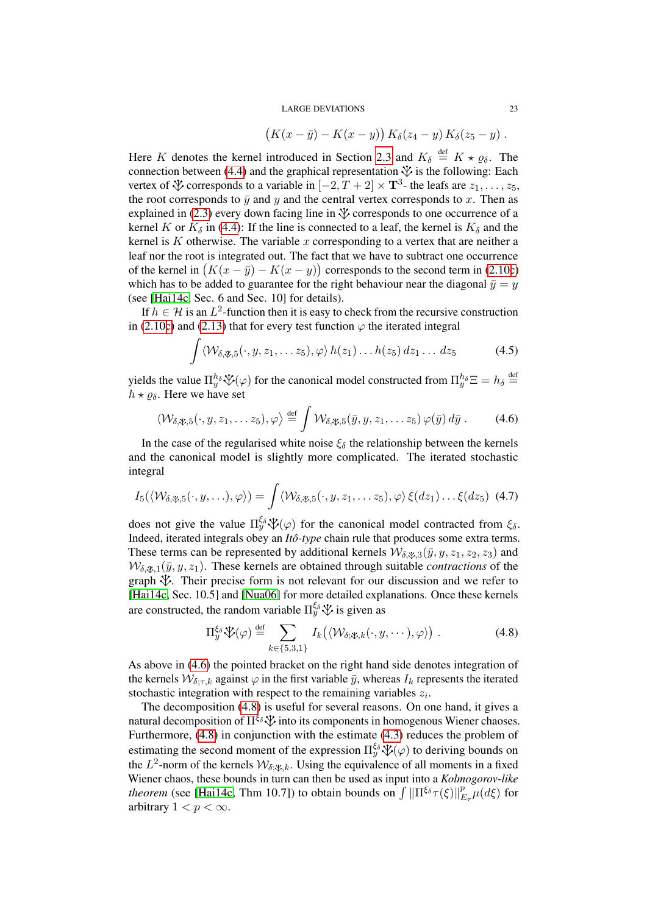$$
(K(x - \bar{y}) - K(x - y)) K_{\delta}(z_4 - y) K_{\delta}(z_5 - y).
$$

Here K denotes the kernel introduced in Section [2.3](#page-6-3) and  $K_{\delta} \stackrel{\text{def}}{=} K \star \varrho_{\delta}$ . The connection between [\(4.4\)](#page-21-1) and the graphical representation  $\mathcal V$  is the following: Each vertex of  $\mathcal Y$  corresponds to a variable in  $[-2, T + 2] \times \mathbf{T}^3$ - the leafs are  $z_1, \ldots, z_5$ , the root corresponds to  $\bar{y}$  and y and the central vertex corresponds to x. Then as explained in [\(2.3\)](#page-4-1) every down facing line in  $\mathcal V$  corresponds to one occurrence of a kernel K or  $K_{\delta}$  in [\(4.4\)](#page-21-1): If the line is connected to a leaf, the kernel is  $K_{\delta}$  and the kernel is  $K$  otherwise. The variable  $x$  corresponding to a vertex that are neither a leaf nor the root is integrated out. The fact that we have to subtract one occurrence of the kernel in  $(K(x - \bar{y}) - K(x - y))$  corresponds to the second term in [\(2.10c\)](#page-7-0) which has to be added to guarantee for the right behaviour near the diagonal  $\bar{y} = y$ (see [\[Hai14c,](#page-28-6) Sec. 6 and Sec. 10] for details).

If  $h \in \mathcal{H}$  is an  $L^2$ -function then it is easy to check from the recursive construction in [\(2.10c\)](#page-7-0) and [\(2.13\)](#page-8-1) that for every test function  $\varphi$  the iterated integral

<span id="page-22-2"></span><span id="page-22-0"></span>
$$
\int \langle \mathcal{W}_{\delta,\mathcal{X},5}(\cdot,y,z_1,\ldots z_5),\varphi\rangle h(z_1)\ldots h(z_5) dz_1\ldots dz_5
$$
 (4.5)

yields the value  $\Pi_y^{h_\delta}\mathcal{V}(\varphi)$  for the canonical model constructed from  $\Pi_y^{h_\delta}\Xi = h_\delta \stackrel{\text{def}}{=}$  $h \star \rho_{\delta}$ . Here we have set

$$
\langle \mathcal{W}_{\delta,\mathfrak{P},5}(\cdot,y,z_1,\ldots z_5),\varphi \rangle \stackrel{\text{def}}{=} \int \mathcal{W}_{\delta,\mathfrak{P},5}(\bar{y},y,z_1,\ldots z_5)\,\varphi(\bar{y})\,d\bar{y} \; . \tag{4.6}
$$

In the case of the regularised white noise  $\xi_{\delta}$  the relationship between the kernels and the canonical model is slightly more complicated. The iterated stochastic integral

$$
I_5(\langle \mathcal{W}_{\delta, \mathcal{X}, 5}(\cdot, y, \ldots), \varphi \rangle) = \int \langle \mathcal{W}_{\delta, \mathcal{X}, 5}(\cdot, y, z_1, \ldots z_5), \varphi \rangle \, \xi(dz_1) \ldots \xi(dz_5) \tag{4.7}
$$

does not give the value  $\Pi_y^{\xi_\delta}\mathcal{V}(\varphi)$  for the canonical model contracted from  $\xi_\delta$ . Indeed, iterated integrals obey an *Itô-type* chain rule that produces some extra terms. These terms can be represented by additional kernels  $W_{\delta, y_1, 3}(\bar{y}, y, z_1, z_2, z_3)$  and  $W_{\delta, \mathcal{R},1}(\bar{y}, y, z_1)$ . These kernels are obtained through suitable *contractions* of the graph  $\mathcal{V}$ . Their precise form is not relevant for our discussion and we refer to [\[Hai14c,](#page-28-6) Sec. 10.5] and [\[Nua06\]](#page-28-18) for more detailed explanations. Once these kernels are constructed, the random variable  $\Pi_y^{\xi_\delta}\mathcal{V}$  is given as

<span id="page-22-3"></span><span id="page-22-1"></span>
$$
\Pi_y^{\xi_\delta} \mathcal{V}(\varphi) \stackrel{\text{def}}{=} \sum_{k \in \{5,3,1\}} I_k(\langle \mathcal{W}_{\delta; \mathcal{X},k}(\cdot, y, \cdots), \varphi \rangle) . \tag{4.8}
$$

As above in [\(4.6\)](#page-22-0) the pointed bracket on the right hand side denotes integration of the kernels  $W_{\delta;\tau,k}$  against  $\varphi$  in the first variable  $\bar{y}$ , whereas  $I_k$  represents the iterated stochastic integration with respect to the remaining variables  $z_i$ .

The decomposition [\(4.8\)](#page-22-1) is useful for several reasons. On one hand, it gives a natural decomposition of  $\Pi^{\xi_\delta}$  into its components in homogenous Wiener chaoses. Furthermore, [\(4.8\)](#page-22-1) in conjunction with the estimate [\(4.3\)](#page-21-2) reduces the problem of estimating the second moment of the expression  $\Pi_y^{\xi_\delta}\mathcal{V}(\varphi)$  to deriving bounds on the  $L^2$ -norm of the kernels  $\mathcal{W}_{\delta,\mathcal{X},k}$ . Using the equivalence of all moments in a fixed Wiener chaos, these bounds in turn can then be used as input into a *Kolmogorov-like theorem* (see [\[Hai14c,](#page-28-6) Thm 10.7]) to obtain bounds on  $\int \|\Pi^{\xi_\delta}\tau(\xi)\|_p^p$  $_{E_{\tau }}^{p}\mu (d\xi )$  for arbitrary  $1 < p < \infty$ .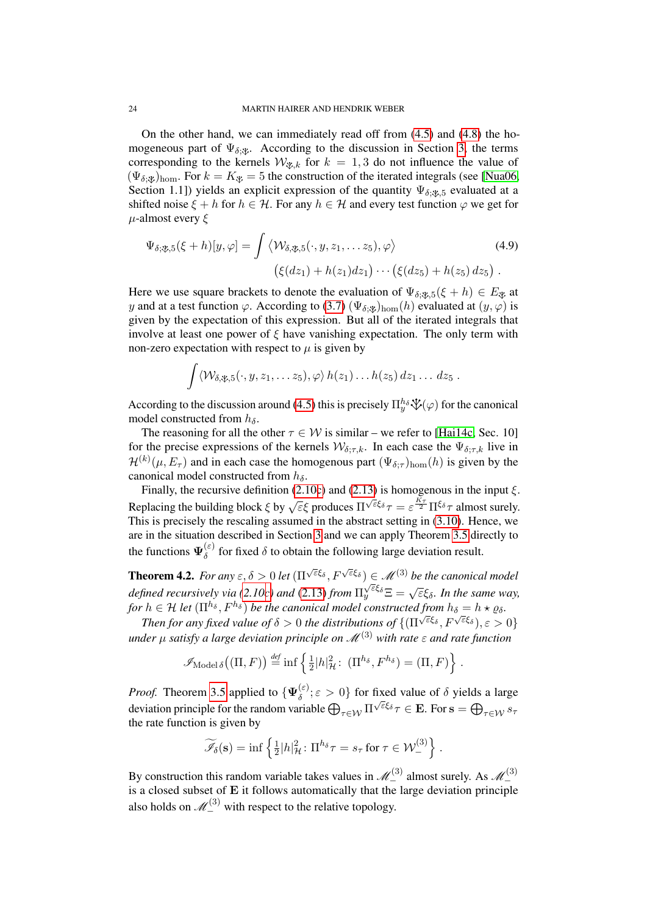On the other hand, we can immediately read off from [\(4.5\)](#page-22-2) and [\(4.8\)](#page-22-1) the homogeneous part of  $\Psi_{\delta,\mathcal{X}}$ . According to the discussion in Section [3,](#page-13-1) the terms corresponding to the kernels  $W_{\mathcal{X},k}$  for  $k = 1,3$  do not influence the value of  $(\Psi_{\delta;\mathcal{X}})_{\text{hom}}$ . For  $k = K_{\mathcal{X}} = 5$  the construction of the iterated integrals (see [\[Nua06,](#page-28-18) Section 1.1]) yields an explicit expression of the quantity  $\Psi_{\delta,\mathscr{X},5}$  evaluated at a shifted noise  $\xi + h$  for  $h \in \mathcal{H}$ . For any  $h \in \mathcal{H}$  and every test function  $\varphi$  we get for  $\mu$ -almost every  $\xi$ 

$$
\Psi_{\delta,\mathfrak{B},5}(\xi+h)[y,\varphi] = \int \langle \mathcal{W}_{\delta,\mathfrak{B},5}(\cdot,y,z_1,\ldots z_5),\varphi \rangle \tag{4.9}
$$
\n
$$
\left(\xi(dz_1) + h(z_1)dz_1\right) \cdots \left(\xi(dz_5) + h(z_5)dz_5\right).
$$

Here we use square brackets to denote the evaluation of  $\Psi_{\delta; \mathcal{X}, 5}(\xi + h) \in E_{\mathcal{X}}$  at y and at a test function  $\varphi$ . According to [\(3.7\)](#page-16-0) ( $\Psi_{\delta; \psi}$ )<sub>hom</sub>(h) evaluated at (y,  $\varphi$ ) is given by the expectation of this expression. But all of the iterated integrals that involve at least one power of  $\xi$  have vanishing expectation. The only term with non-zero expectation with respect to  $\mu$  is given by

$$
\int \langle \mathcal{W}_{\delta,\mathfrak{P},5}(\cdot,y,z_1,\ldots z_5),\varphi\rangle h(z_1)\ldots h(z_5) dz_1\ldots dz_5.
$$

According to the discussion around [\(4.5\)](#page-22-2) this is precisely  $\Pi_y^h \circ \mathcal{V}(\varphi)$  for the canonical model constructed from  $h_{\delta}$ .

The reasoning for all the other  $\tau \in \mathcal{W}$  is similar – we refer to [\[Hai14c,](#page-28-6) Sec. 10] for the precise expressions of the kernels  $W_{\delta:\tau,k}$ . In each case the  $\Psi_{\delta:\tau,k}$  live in  $\mathcal{H}^{(k)}(\mu, E_{\tau})$  and in each case the homogenous part  $(\Psi_{\delta; \tau})_{\text{hom}}(h)$  is given by the canonical model constructed from  $h_{\delta}$ .

Finally, the recursive definition [\(2.10c\)](#page-7-0) and [\(2.13\)](#page-8-1) is homogenous in the input  $\xi$ . Replacing the building block  $\xi$  by  $\sqrt{\varepsilon \xi}$  produces  $\Pi^{\sqrt{\varepsilon} \xi} \tau = \varepsilon^{\frac{K_{\tau}}{2}} \Pi^{\xi} \tau$  almost surely. This is precisely the rescaling assumed in the abstract setting in [\(3.10\)](#page-17-0). Hence, we are in the situation described in Section [3](#page-13-1) and we can apply Theorem [3.5](#page-17-6) directly to the functions  $\Psi_{\delta}^{(\varepsilon)}$  $\delta^{\text{(c)}}$  for fixed  $\delta$  to obtain the following large deviation result.

<span id="page-23-0"></span>**Theorem 4.2.** For any  $\varepsilon, \delta > 0$  let  $(\Pi^{\sqrt{\varepsilon}\xi_{\delta}}, F^{\sqrt{\varepsilon}\xi_{\delta}}) \in \mathcal{M}^{(3)}$  be the canonical model *defined recursively via [\(2.10c\)](#page-7-0) and* [\(2.13\)](#page-8-1) *from* Π  $\sqrt{\varepsilon} \xi_{\delta}$   $\Xi = \sqrt{\varepsilon} \xi_{\delta}$ . In the same way, *for*  $h \in H$  *let*  $(\Pi^{h_{\delta}}, F^{h_{\delta}})$  *be the canonical model constructed from*  $h_{\delta} = h \star \varrho_{\delta}$ *.* 

*Then for any fixed value of*  $\delta > 0$  *the distributions of*  $\{(\Pi^{\sqrt{\varepsilon}\xi_\delta}, F^{\sqrt{\varepsilon}\xi_\delta}), \varepsilon > 0\}$ *under*  $\mu$  *satisfy a large deviation principle on*  $\mathcal{M}^{(3)}$  *with rate*  $\epsilon$  *and rate function* 

$$
\mathscr{I}_{\text{Model }\delta}((\Pi, F)) \stackrel{\text{def}}{=} \inf \left\{ \frac{1}{2} |h|_{\mathcal{H}}^2 : (\Pi^{h_{\delta}}, F^{h_{\delta}}) = (\Pi, F) \right\}.
$$

*Proof.* Theorem [3.5](#page-17-6) applied to  $\{\Psi_{\delta}^{(\varepsilon)}\}$  $\{\delta^{\varepsilon}\}\in \mathcal{S}$  of fixed value of  $\delta$  yields a large deviation principle for the random variable  $\bigoplus_{\tau\in\mathcal{W}}\Pi^{\sqrt{\varepsilon}\xi_\delta}\tau\in\mathbf{E}.$  For  $\mathbf{s}=\bigoplus_{\tau\in\mathcal{W}}s_\tau$ the rate function is given by

$$
\widetilde{\mathscr{I}}_{\delta}(\mathbf{s}) = \inf \left\{ \frac{1}{2} |h|_{\mathcal{H}}^2 \colon \Pi^{h_{\delta}} \tau = s_{\tau} \text{ for } \tau \in \mathcal{W}_{-}^{(3)} \right\}.
$$

By construction this random variable takes values in  $\mathcal{M}_{-}^{(3)}$  almost surely. As  $\mathcal{M}_{-}^{(3)}$ is a closed subset of E it follows automatically that the large deviation principle also holds on  $\mathcal{M}_{-}^{(3)}$  with respect to the relative topology.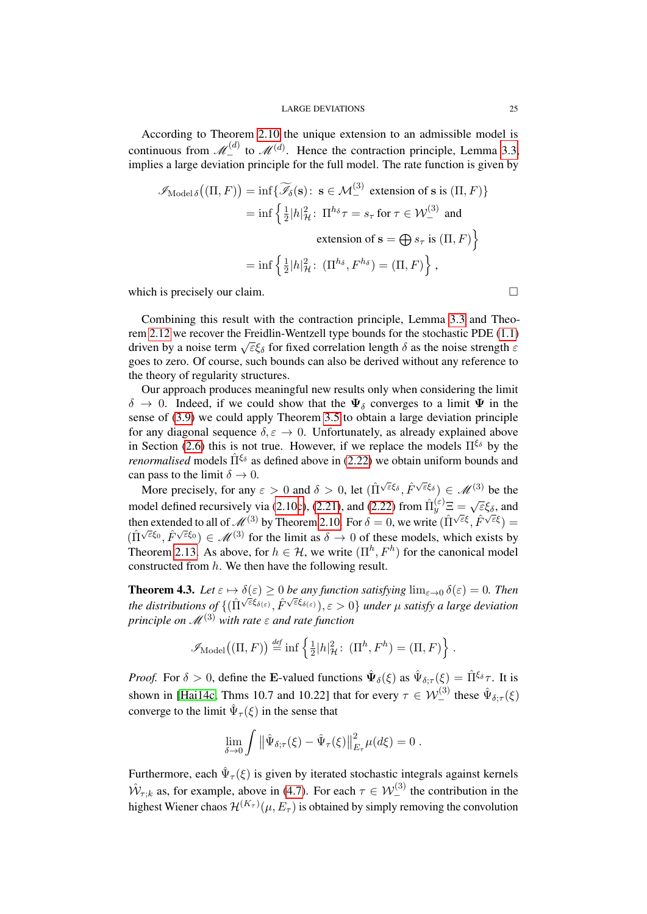According to Theorem [2.10](#page-10-1) the unique extension to an admissible model is continuous from  $\mathcal{M}_{-}^{(d)}$  to  $\mathcal{M}^{(d)}$ . Hence the contraction principle, Lemma [3.3,](#page-14-1) implies a large deviation principle for the full model. The rate function is given by

$$
\mathscr{I}_{\text{Model }\delta} \big( (\Pi, F) \big) = \inf \{ \widetilde{\mathscr{I}}_{\delta} (\mathbf{s}) \colon \mathbf{s} \in \mathcal{M}_{-}^{(3)} \text{ extension of } \mathbf{s} \text{ is } (\Pi, F) \}
$$
\n
$$
= \inf \left\{ \frac{1}{2} |h|_{\mathcal{H}}^{2} \colon \Pi^{h_{\delta}} \tau = s_{\tau} \text{ for } \tau \in \mathcal{W}_{-}^{(3)} \text{ and}
$$
\n
$$
\text{extension of } \mathbf{s} = \bigoplus s_{\tau} \text{ is } (\Pi, F) \right\}
$$
\n
$$
= \inf \left\{ \frac{1}{2} |h|_{\mathcal{H}}^{2} \colon \left( \Pi^{h_{\delta}}, F^{h_{\delta}} \right) = (\Pi, F) \right\},
$$

which is precisely our claim.

Combining this result with the contraction principle, Lemma [3.3](#page-14-1) and Theorem [2.12](#page-12-2) we recover the Freidlin-Wentzell type bounds for the stochastic PDE [\(1.1\)](#page-0-0) driven by a noise term  $\sqrt{\epsilon}\xi_{\delta}$  for fixed correlation length  $\delta$  as the noise strength  $\varepsilon$ goes to zero. Of course, such bounds can also be derived without any reference to the theory of regularity structures.

Our approach produces meaningful new results only when considering the limit  $\delta \to 0$ . Indeed, if we could show that the  $\Psi_{\delta}$  converges to a limit  $\Psi$  in the sense of [\(3.9\)](#page-17-1) we could apply Theorem [3.5](#page-17-6) to obtain a large deviation principle for any diagonal sequence  $\delta, \varepsilon \to 0$ . Unfortunately, as already explained above in Section [\(2.6\)](#page-12-0) this is not true. However, if we replace the models  $\Pi^{\xi_{\delta}}$  by the *renormalised* models  $\hat{\Pi}^{\xi_{\delta}}$  as defined above in [\(2.22\)](#page-13-2) we obtain uniform bounds and can pass to the limit  $\delta \to 0$ .

More precisely, for any  $\varepsilon > 0$  and  $\delta > 0$ , let  $(\hat{\Pi}^{\sqrt{\varepsilon}\xi_\delta}, \hat{F}^{\sqrt{\varepsilon}\xi_\delta}) \in \mathcal{M}^{(3)}$  be the model defined recursively via [\(2.10c\)](#page-7-0), [\(2.21\)](#page-12-1), and [\(2.22\)](#page-13-2) from  $\hat{\Pi}_{y}^{(\varepsilon)} \Xi = \sqrt{\varepsilon} \xi_{\delta}$ , and then extended to all of  $\mathcal{M}^{(3)}$  by Theorem [2.10.](#page-10-1) For  $\delta = 0$ , we write  $(\hat{\Pi}^{\sqrt{\epsilon}\xi}, \hat{F}^{\sqrt{\epsilon}\xi}) =$ ( $\hat{\Pi}^{\sqrt{\varepsilon}\xi_0}, \hat{F}^{\sqrt{\varepsilon}\xi_0} \in \mathcal{M}^{(3)}$  for the limit as  $\delta \to 0$  of these models, which exists by Theorem [2.13.](#page-13-3) As above, for  $h \in \mathcal{H}$ , we write  $(\Pi^h, F^h)$  for the canonical model constructed from h. We then have the following result.

<span id="page-24-0"></span>**Theorem 4.3.** Let  $\varepsilon \mapsto \delta(\varepsilon) \ge 0$  be any function satisfying  $\lim_{\varepsilon \to 0} \delta(\varepsilon) = 0$ . Then the distributions of  $\{(\hat{\Pi}^{\sqrt{\varepsilon}\xi_{\delta(\varepsilon)}},\hat{F}^{\sqrt{\varepsilon}\xi_{\delta(\varepsilon)}}),\varepsilon>0\}$  under  $\mu$  satisfy a large deviation *principle on*  $\mathcal{M}^{(3)}$  *with rate*  $\varepsilon$  *and rate function* 

$$
\mathscr{I}_{\text{Model}}((\Pi, F)) \stackrel{\text{def}}{=} \inf \left\{ \frac{1}{2} |h|_{\mathcal{H}}^2 : (\Pi^h, F^h) = (\Pi, F) \right\}.
$$

*Proof.* For  $\delta > 0$ , define the E-valued functions  $\hat{\Psi}_{\delta}(\xi)$  as  $\hat{\Psi}_{\delta;\tau}(\xi) = \hat{\Pi}^{\xi_{\delta}}\tau$ . It is shown in [\[Hai14c,](#page-28-6) Thms 10.7 and 10.22] that for every  $\tau \in \mathcal{W}_{-}^{(3)}$  these  $\hat{\Psi}_{\delta; \tau}(\xi)$ converge to the limit  $\hat{\Psi}_{\tau}(\xi)$  in the sense that

$$
\lim_{\delta \to 0} \int \left\| \hat{\Psi}_{\delta;\tau}(\xi) - \hat{\Psi}_{\tau}(\xi) \right\|_{E_{\tau}}^2 \mu(d\xi) = 0.
$$

Furthermore, each  $\hat{\Psi}_{\tau}(\xi)$  is given by iterated stochastic integrals against kernels  $\hat{W}_{\tau;k}$  as, for example, above in [\(4.7\)](#page-22-3). For each  $\tau \in \mathcal{W}_{-}^{(3)}$  the contribution in the highest Wiener chaos  $\mathcal{H}^{(K_\tau)}(\mu,E_\tau)$  is obtained by simply removing the convolution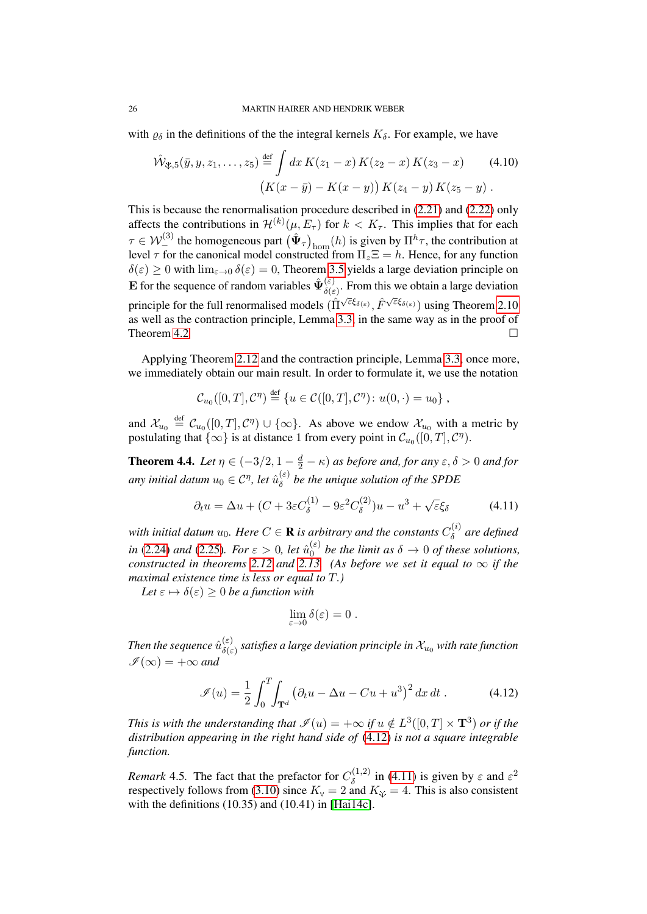with  $\varrho_{\delta}$  in the definitions of the the integral kernels  $K_{\delta}$ . For example, we have

$$
\hat{\mathcal{W}}_{\mathfrak{F},5}(\bar{y}, y, z_1, \dots, z_5) \stackrel{\text{def}}{=} \int dx K(z_1 - x) K(z_2 - x) K(z_3 - x) \tag{4.10}
$$
\n
$$
\left( K(x - \bar{y}) - K(x - y) \right) K(z_4 - y) K(z_5 - y) .
$$

This is because the renormalisation procedure described in [\(2.21\)](#page-12-1) and [\(2.22\)](#page-13-2) only affects the contributions in  $\mathcal{H}^{(k)}(\mu, E_{\tau})$  for  $k < K_{\tau}$ . This implies that for each  $\tau \in W^{(3)}_{-}$  the homogeneous part  $(\hat{\Psi}_{\tau})_{\text{hom}}(h)$  is given by  $\Pi^{h}\tau$ , the contribution at level  $\tau$  for the canonical model constructed from  $\Pi_z \Xi = h$ . Hence, for any function  $\delta(\varepsilon) \ge 0$  with  $\lim_{\varepsilon \to 0} \delta(\varepsilon) = 0$ , Theorem [3.5](#page-17-6) yields a large deviation principle on **E** for the sequence of random variables  $\hat{\Psi}_{\hat{\delta}(\varepsilon)}^{(\varepsilon)}$  $\delta(\varepsilon)$ . From this we obtain a large deviation principle for the full renormalised models  $(\hat{\Pi}^{\sqrt{\varepsilon}\xi_{\delta(\varepsilon)}}, \hat{F}^{\sqrt{\varepsilon}\xi_{\delta(\varepsilon)}})$  using Theorem [2.10](#page-10-1) as well as the contraction principle, Lemma [3.3,](#page-14-1) in the same way as in the proof of Theorem [4.2](#page-23-0)

Applying Theorem [2.12](#page-12-2) and the contraction principle, Lemma [3.3,](#page-14-1) once more, we immediately obtain our main result. In order to formulate it, we use the notation

$$
C_{u_0}([0,T],\mathcal{C}^{\eta}) \stackrel{\text{def}}{=} \{u \in \mathcal{C}([0,T],\mathcal{C}^{\eta}) : u(0,\cdot) = u_0\},\,
$$

and  $\mathcal{X}_{u_0} \stackrel{\text{def}}{=} C_{u_0}([0,T], \mathcal{C}^{\eta}) \cup \{\infty\}.$  As above we endow  $\mathcal{X}_{u_0}$  with a metric by postulating that  $\{\infty\}$  is at distance 1 from every point in  $\mathcal{C}_{u_0}([0,T], \mathcal{C}^{\eta})$ .

<span id="page-25-0"></span>**Theorem 4.4.** Let  $\eta \in (-3/2, 1 - \frac{d}{2} - \kappa)$  as before and, for any  $\varepsilon, \delta > 0$  and for any initial datum  $u_0 \in \mathcal{C}^\eta$ , let  $\hat{u}_\delta^{(\varepsilon)}$  $\delta^{\epsilon}$  be the unique solution of the SPDE

$$
\partial_t u = \Delta u + (C + 3\varepsilon C_\delta^{(1)} - 9\varepsilon^2 C_\delta^{(2)})u - u^3 + \sqrt{\varepsilon}\xi_\delta \tag{4.11}
$$

with initial datum  $u_0$ . Here  $C \in \mathbf{R}$  is arbitrary and the constants  $C_\delta^{(i)}$ δ *are defined in* [\(2.24\)](#page-13-0) *and* [\(2.25\)](#page-13-4)*. For*  $\varepsilon > 0$ *, let*  $\hat{u}_0^{(\varepsilon)}$  $\delta_0^{(\varepsilon)}$  be the limit as  $\delta \to 0$  of these solutions, *constructed in theorems* [2.12](#page-12-2) *and* [2.13.](#page-13-3) (As before we set it equal to  $\infty$  if the *maximal existence time is less or equal to* T*.)*

*Let*  $\varepsilon \mapsto \delta(\varepsilon) \geq 0$  *be a function with* 

<span id="page-25-2"></span><span id="page-25-1"></span>
$$
\lim_{\varepsilon\to 0}\delta(\varepsilon)=0\;.
$$

Then the sequence  $\hat{u}_{\delta(\varepsilon)}^{(\varepsilon)}$  $\delta(\varepsilon) \over \delta(\varepsilon)$  satisfies a large deviation principle in  $\mathcal{X}_{u_0}$  with rate function  $I(\infty) = +\infty$  and

$$
\mathcal{I}(u) = \frac{1}{2} \int_0^T \int_{\mathbf{T}^d} \left( \partial_t u - \Delta u - Cu + u^3 \right)^2 dx dt . \tag{4.12}
$$

*This is with the understanding that*  $\mathscr{I}(u) = +\infty$  *if*  $u \notin L^3([0,T] \times \mathbf{T}^3)$  or if the *distribution appearing in the right hand side of* [\(4.12\)](#page-25-1) *is not a square integrable function.*

*Remark* 4.5. The fact that the prefactor for  $C_{\delta}^{(1,2)}$  $\delta^{(1,2)}$  in [\(4.11\)](#page-25-2) is given by  $\varepsilon$  and  $\varepsilon^2$ respectively follows from [\(3.10\)](#page-17-0) since  $K_{\rm v} = 2$  and  $K_{\rm \tilde{\rm \psi}} = 4$ . This is also consistent with the definitions (10.35) and (10.41) in [\[Hai14c\]](#page-28-6).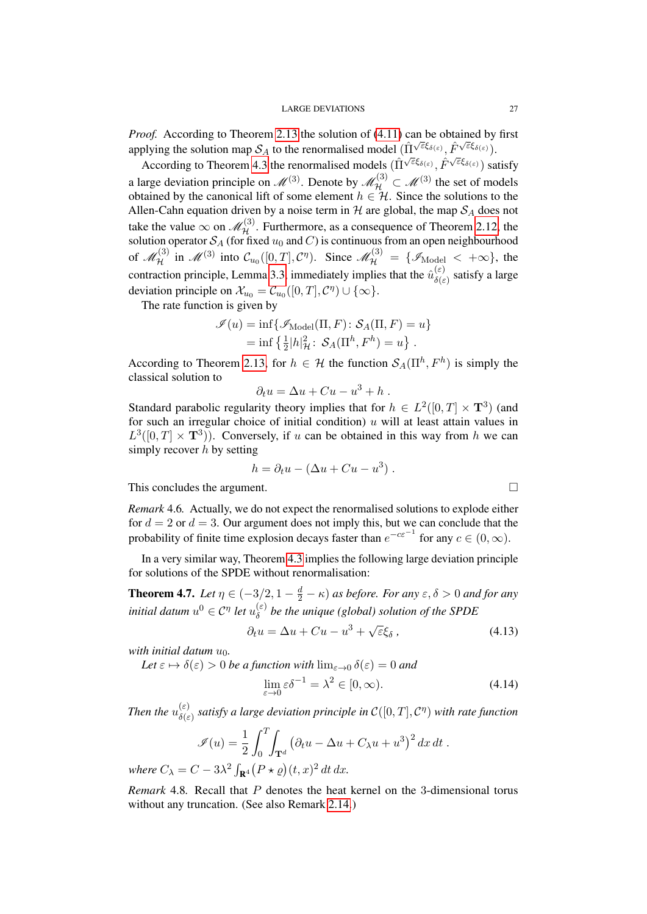*Proof.* According to Theorem [2.13](#page-13-3) the solution of  $(4.11)$  can be obtained by first applying the solution map  $S_A$  to the renormalised model  $(\hat{\Pi}^{\sqrt{\varepsilon}\xi_{\delta(\varepsilon)}}, \hat{F}^{\sqrt{\varepsilon}\xi_{\delta(\varepsilon)}}).$ 

According to Theorem [4.3](#page-24-0) the renormalised models  $(\hat{\Pi}^{\sqrt{\varepsilon}\xi_{\delta(\varepsilon)}}, \hat{F}^{\sqrt{\varepsilon}\xi_{\delta(\varepsilon)}})$  satisfy a large deviation principle on  $\mathcal{M}^{(3)}$ . Denote by  $\mathcal{M}_{\mathcal{H}}^{(3)} \subset \mathcal{M}^{(3)}$  the set of models obtained by the canonical lift of some element  $h \in \mathcal{H}$ . Since the solutions to the Allen-Cahn equation driven by a noise term in  $H$  are global, the map  $S_A$  does not take the value  $\infty$  on  $\mathscr{M}_{\mathcal{H}}^{(3)}$ . Furthermore, as a consequence of Theorem [2.12,](#page-12-2) the solution operator  $\mathcal{S}_A$  (for fixed  $u_0$  and  $C$ ) is continuous from an open neighbourhood of  $\mathscr{M}_\mathcal{H}^{(3)}$  in  $\mathscr{M}^{(3)}$  into  $\mathcal{C}_{u_0}([0,T],\mathcal{C}^\eta)$ . Since  $\mathscr{M}_\mathcal{H}^{(3)} = \{\mathscr{I}_{\text{Model}} < +\infty\}$ , the contraction principle, Lemma [3.3,](#page-14-1) immediately implies that the  $\hat{u}_{\delta(\epsilon)}^{(\varepsilon)}$  $\int_{\delta(\varepsilon)}^{\infty}$  satisfy a large deviation principle on  $\mathcal{X}_{u_0} = \mathcal{C}_{u_0}([0,T], \mathcal{C}^{\eta}) \cup \{\infty\}.$ 

The rate function is given by

$$
\mathcal{I}(u) = \inf \{ \mathcal{I}_{\text{Model}}(\Pi, F) : \mathcal{S}_A(\Pi, F) = u \}
$$
  
= 
$$
\inf \{ \frac{1}{2} |h|_H^2 : \mathcal{S}_A(\Pi^h, F^h) = u \}.
$$

According to Theorem [2.13,](#page-13-3) for  $h \in \mathcal{H}$  the function  $\mathcal{S}_A(\Pi^h, F^h)$  is simply the classical solution to

$$
\partial_t u = \Delta u + Cu - u^3 + h.
$$

Standard parabolic regularity theory implies that for  $h \in L^2([0,T] \times \mathbf{T}^3)$  (and for such an irregular choice of initial condition)  $u$  will at least attain values in  $L^3([0,T] \times \mathbf{T}^3)$ . Conversely, if u can be obtained in this way from h we can simply recover  $h$  by setting

$$
h = \partial_t u - (\Delta u + Cu - u^3).
$$

This concludes the argument.

*Remark* 4.6*.* Actually, we do not expect the renormalised solutions to explode either for  $d = 2$  or  $d = 3$ . Our argument does not imply this, but we can conclude that the probability of finite time explosion decays faster than  $e^{-c\varepsilon^{-1}}$  for any  $c \in (0, \infty)$ .

In a very similar way, Theorem [4.3](#page-24-0) implies the following large deviation principle for solutions of the SPDE without renormalisation:

<span id="page-26-0"></span>**Theorem 4.7.** *Let*  $\eta \in (-3/2, 1 - \frac{d}{2} - \kappa)$  *as before. For any*  $\varepsilon, \delta > 0$  *and for any initial datum*  $u^0 \in C^{\eta}$  *let*  $u_{\delta}^{(\varepsilon)}$ δ *be the unique (global) solution of the SPDE*

$$
\partial_t u = \Delta u + Cu - u^3 + \sqrt{\varepsilon} \xi_\delta \,, \tag{4.13}
$$

*with initial datum*  $u_0$ *.* 

*Let*  $\varepsilon \mapsto \delta(\varepsilon) > 0$  *be a function with*  $\lim_{\varepsilon \to 0} \delta(\varepsilon) = 0$  *and* 

$$
\lim_{\varepsilon \to 0} \varepsilon \delta^{-1} = \lambda^2 \in [0, \infty). \tag{4.14}
$$

*Then the*  $u_{s(s)}^{(\varepsilon)}$  $\sigma_{(\varepsilon)}^{(\varepsilon)}$  satisfy a large deviation principle in  $\mathcal{C}([0,T],\mathcal{C}^{\eta})$  with rate function

$$
\mathscr{I}(u) = \frac{1}{2} \int_0^T \int_{\mathbf{T}^d} \left( \partial_t u - \Delta u + C_{\lambda} u + u^3 \right)^2 dx dt.
$$

where  $C_{\lambda} = C - 3\lambda^2 \int_{\mathbf{R}^4} (P \star \varrho) (t, x)^2 dt dx$ .

*Remark* 4.8*.* Recall that P denotes the heat kernel on the 3-dimensional torus without any truncation. (See also Remark [2.14.](#page-13-5))

<span id="page-26-2"></span><span id="page-26-1"></span>
$$
\qquad \qquad \Box
$$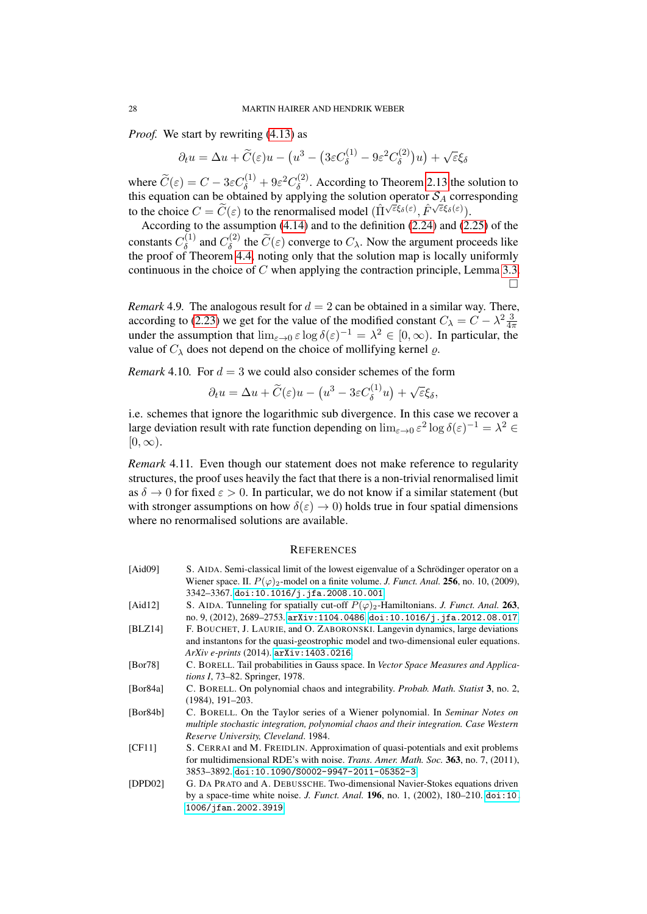*Proof.* We start by rewriting [\(4.13\)](#page-26-1) as

$$
\partial_t u = \Delta u + \widetilde{C}(\varepsilon)u - \left(u^3 - \left(3\varepsilon C_\delta^{(1)} - 9\varepsilon^2 C_\delta^{(2)}\right)u\right) + \sqrt{\varepsilon}\xi_\delta
$$

where  $\widetilde{C}(\varepsilon) = C - 3\varepsilon C_{\delta}^{(1)} + 9\varepsilon^2 C_{\delta}^{(2)}$  $\delta^{(2)}$ . According to Theorem [2.13](#page-13-3) the solution to this equation can be obtained by applying the solution operator  $S_A$  corresponding to the choice  $C = \widetilde{C}(\varepsilon)$  to the renormalised model  $(\hat{\Pi}^{\sqrt{\varepsilon}\xi_{\delta}(\varepsilon)}, \hat{F}^{\sqrt{\varepsilon}\xi_{\delta}(\varepsilon)})$ .

According to the assumption [\(4.14\)](#page-26-2) and to the definition [\(2.24\)](#page-13-0) and [\(2.25\)](#page-13-4) of the constants  $C_\delta^{(1)}$  $C_{\delta}^{(1)}$  and  $C_{\delta}^{(2)}$  $\delta^{(2)}$  the  $C(\varepsilon)$  converge to  $C_{\lambda}$ . Now the argument proceeds like the proof of Theorem [4.4,](#page-25-0) noting only that the solution map is locally uniformly continuous in the choice of C when applying the contraction principle, Lemma [3.3.](#page-14-1)  $\Box$ 

*Remark* 4.9. The analogous result for  $d = 2$  can be obtained in a similar way. There, according to [\(2.23\)](#page-13-6) we get for the value of the modified constant  $C_{\lambda} = C - \lambda^2 \frac{3}{4\pi}$ under the assumption that  $\lim_{\varepsilon \to 0} \varepsilon \log \delta(\varepsilon)^{-1} = \lambda^2 \in [0, \infty)$ . In particular, the value of  $C_{\lambda}$  does not depend on the choice of mollifying kernel  $\rho$ .

*Remark* 4.10*.* For  $d = 3$  we could also consider schemes of the form

$$
\partial_t u = \Delta u + \widetilde{C}(\varepsilon)u - \left(u^3 - 3\varepsilon C_\delta^{(1)}u\right) + \sqrt{\varepsilon}\xi_\delta,
$$

i.e. schemes that ignore the logarithmic sub divergence. In this case we recover a large deviation result with rate function depending on  $\lim_{\varepsilon \to 0} \varepsilon^2 \log \delta(\varepsilon)^{-1} = \lambda^2 \in$  $[0, \infty)$ .

*Remark* 4.11*.* Even though our statement does not make reference to regularity structures, the proof uses heavily the fact that there is a non-trivial renormalised limit as  $\delta \to 0$  for fixed  $\varepsilon > 0$ . In particular, we do not know if a similar statement (but with stronger assumptions on how  $\delta(\varepsilon) \to 0$ ) holds true in four spatial dimensions where no renormalised solutions are available.

### **REFERENCES**

<span id="page-27-7"></span><span id="page-27-6"></span><span id="page-27-5"></span><span id="page-27-4"></span><span id="page-27-3"></span><span id="page-27-2"></span><span id="page-27-1"></span><span id="page-27-0"></span>

| [Aid $09$ ] | S. AIDA. Semi-classical limit of the lowest eigenvalue of a Schrödinger operator on a                       |
|-------------|-------------------------------------------------------------------------------------------------------------|
|             | Wiener space. II. $P(\varphi)$ <sub>2</sub> -model on a finite volume. J. Funct. Anal. 256, no. 10, (2009), |
|             | 3342-3367. doi:10.1016/j.jfa.2008.10.001.                                                                   |
| [Aid $12$ ] | S. AIDA. Tunneling for spatially cut-off $P(\varphi)_2$ -Hamiltonians. J. Funct. Anal. 263,                 |
|             | no. 9, (2012), 2689-2753. arXiv:1104.0486. doi:10.1016/j.jfa.2012.08.017.                                   |
| [BLZ14]     | F. BOUCHET, J. LAURIE, and O. ZABORONSKI. Langevin dynamics, large deviations                               |
|             | and instantons for the quasi-geostrophic model and two-dimensional euler equations.                         |
|             | <i>ArXiv e-prints</i> (2014). arXiv: 1403.0216.                                                             |
| [Bor78]     | C. BORELL. Tail probabilities in Gauss space. In Vector Space Measures and Applica-                         |
|             | <i>tions I, 73–82. Springer, 1978.</i>                                                                      |
| [Bor84a]    | C. BORELL. On polynomial chaos and integrability. <i>Probab. Math. Statist</i> 3, no. 2,                    |
|             | $(1984), 191-203.$                                                                                          |
| [Bor84b]    | C. BORELL. On the Taylor series of a Wiener polynomial. In Seminar Notes on                                 |
|             | multiple stochastic integration, polynomial chaos and their integration. Case Western                       |
|             | Reserve University, Cleveland. 1984.                                                                        |
| [CF11]      | S. CERRAI and M. FREIDLIN. Approximation of quasi-potentials and exit problems                              |
|             | for multidimensional RDE's with noise. <i>Trans. Amer. Math. Soc.</i> 363, no. 7, (2011),                   |
|             | 3853–3892. doi:10.1090/S0002-9947-2011-05352-3.                                                             |
| [DPD02]     | G. DA PRATO and A. DEBUSSCHE. Two-dimensional Navier-Stokes equations driven                                |
|             | by a space-time white noise. <i>J. Funct. Anal.</i> <b>196</b> , no. 1, (2002), 180–210. doi:10.            |
|             | 1006/jfan.2002.3919.                                                                                        |